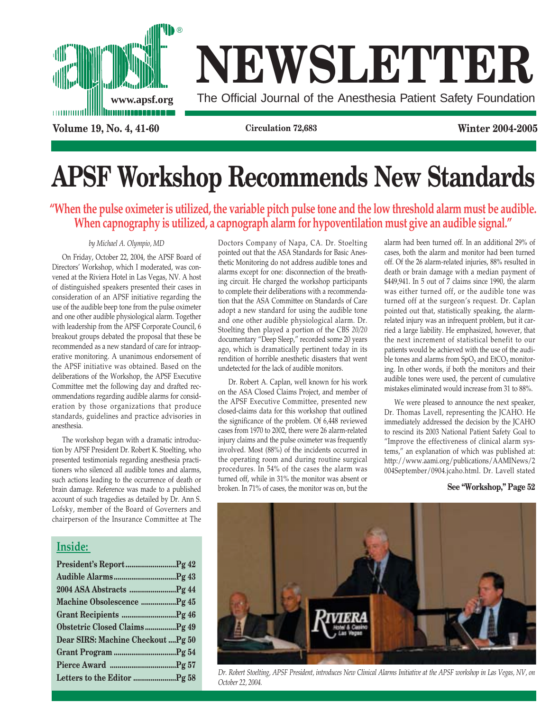

# **NEWSLETTER**

**www.apsf.org** The Official Journal of the Anesthesia Patient Safety Foundation

**Volume 19, No. 4, 41-60 Circulation 72,683 Winter 2004-2005**

# **APSF Workshop Recommends New Standards**

**"When the pulse oximeter is utilized, the variable pitch pulse tone and the low threshold alarm must be audible. When capnography is utilized, a capnograph alarm for hypoventilation must give an audible signal."**

### *by Michael A. Olympio, MD*

On Friday, October 22, 2004, the APSF Board of Directors' Workshop, which I moderated, was convened at the Riviera Hotel in Las Vegas, NV. A host of distinguished speakers presented their cases in consideration of an APSF initiative regarding the use of the audible beep tone from the pulse oximeter and one other audible physiological alarm. Together with leadership from the APSF Corporate Council, 6 breakout groups debated the proposal that these be recommended as a new standard of care for intraoperative monitoring. A unanimous endorsement of the APSF initiative was obtained. Based on the deliberations of the Workshop, the APSF Executive Committee met the following day and drafted recommendations regarding audible alarms for consideration by those organizations that produce standards, guidelines and practice advisories in anesthesia.

The workshop began with a dramatic introduction by APSF President Dr. Robert K. Stoelting, who presented testimonials regarding anesthesia practitioners who silenced all audible tones and alarms, such actions leading to the occurrence of death or brain damage. Reference was made to a published account of such tragedies as detailed by Dr. Ann S. Lofsky, member of the Board of Governers and chairperson of the Insurance Committee at The

### **Inside:**

| Machine Obsolescence Pg 45         |  |
|------------------------------------|--|
|                                    |  |
| Obstetric Closed ClaimsPg 49       |  |
| Dear SIRS: Machine Checkout  Pg 50 |  |
|                                    |  |
|                                    |  |
|                                    |  |
|                                    |  |

Doctors Company of Napa, CA. Dr. Stoelting pointed out that the ASA Standards for Basic Anesthetic Monitoring do not address audible tones and alarms except for one: disconnection of the breathing circuit. He charged the workshop participants to complete their deliberations with a recommendation that the ASA Committee on Standards of Care adopt a new standard for using the audible tone and one other audible physiological alarm. Dr. Stoelting then played a portion of the CBS *20/20* documentary "Deep Sleep," recorded some 20 years ago, which is dramatically pertinent today in its rendition of horrible anesthetic disasters that went undetected for the lack of audible monitors.

Dr. Robert A. Caplan, well known for his work on the ASA Closed Claims Project, and member of the APSF Executive Committee, presented new closed-claims data for this workshop that outlined the significance of the problem. Of 6,448 reviewed cases from 1970 to 2002, there were 26 alarm-related injury claims and the pulse oximeter was frequently involved. Most (88%) of the incidents occurred in the operating room and during routine surgical procedures. In 54% of the cases the alarm was turned off, while in 31% the monitor was absent or broken. In 71% of cases, the monitor was on, but the alarm had been turned off. In an additional 29% of cases, both the alarm and monitor had been turned off. Of the 26 alarm-related injuries, 88% resulted in death or brain damage with a median payment of \$449,941. In 5 out of 7 claims since 1990, the alarm was either turned off, or the audible tone was turned off at the surgeon's request. Dr. Caplan pointed out that, statistically speaking, the alarmrelated injury was an infrequent problem, but it carried a large liability. He emphasized, however, that the next increment of statistical benefit to our patients would be achieved with the use of the audible tones and alarms from  $SpO<sub>2</sub>$  and  $EtCO<sub>2</sub>$  monitoring. In other words, if both the monitors and their audible tones were used, the percent of cumulative mistakes eliminated would increase from 31 to 88%.

We were pleased to announce the next speaker, Dr. Thomas Lavell, representing the JCAHO. He immediately addressed the decision by the JCAHO to rescind its 2003 National Patient Safety Goal to "Improve the effectiveness of clinical alarm systems," an explanation of which was published at: http://www.aami.org/publications/AAMINews/2 004September/0904.jcaho.html. Dr. Lavell stated

### **See "Workshop," Page 52**



*Dr. Robert Stoelting, APSF President, introduces New Clinical Alarms Initiative at the APSF workshop in Las Vegas, NV, on October 22, 2004.*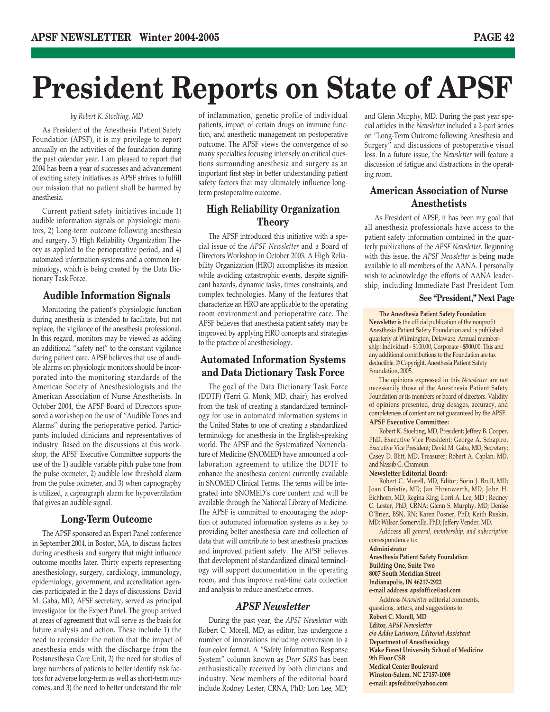# **President Reports on State of APSF**

#### *by Robert K. Stoelting, MD*

As President of the Anesthesia Patient Safety Foundation (APSF), it is my privilege to report annually on the activities of the foundation during the past calendar year. I am pleased to report that 2004 has been a year of successes and advancement of exciting safety initiatives as APSF strives to fulfill our mission that no patient shall be harmed by anesthesia.

Current patient safety initiatives include 1) audible information signals on physiologic monitors, 2) Long-term outcome following anesthesia and surgery, 3) High Reliability Organization Theory as applied to the perioperative period, and 4) automated information systems and a common terminology, which is being created by the Data Dictionary Task Force.

### **Audible Information Signals**

Monitoring the patient's physiologic function during anesthesia is intended to facilitate, but not replace, the vigilance of the anesthesia professional. In this regard, monitors may be viewed as adding an additional "safety net" to the constant vigilance during patient care. APSF believes that use of audible alarms on physiologic monitors should be incorporated into the monitoring standards of the American Society of Anesthesiologists and the American Association of Nurse Anesthetists. In October 2004, the APSF Board of Directors sponsored a workshop on the use of "Audible Tones and Alarms" during the perioperative period. Participants included clinicians and representatives of industry. Based on the discussions at this workshop, the APSF Executive Committee supports the use of the 1) audible variable pitch pulse tone from the pulse oximeter, 2) audible low threshold alarm from the pulse oximeter, and 3) when capnography is utilized, a capnograph alarm for hypoventilation that gives an audible signal.

### **Long-Term Outcome**

The APSF sponsored an Expert Panel conference in September 2004, in Boston, MA, to discuss factors during anesthesia and surgery that might influence outcome months later. Thirty experts representing anesthesiology, surgery, cardiology, immunology, epidemiology, government, and accreditation agencies participated in the 2 days of discussions. David M. Gaba, MD, APSF secretary, served as principal investigator for the Expert Panel. The group arrived at areas of agreement that will serve as the basis for future analysis and action. These include 1) the need to reconsider the notion that the impact of anesthesia ends with the discharge from the Postanesthesia Care Unit, 2) the need for studies of large numbers of patients to better identify risk factors for adverse long-term as well as short-term outcomes, and 3) the need to better understand the role

of inflammation, genetic profile of individual patients, impact of certain drugs on immune function, and anesthetic management on postoperative outcome. The APSF views the convergence of so many specialties focusing intensely on critical questions surrounding anesthesia and surgery as an important first step in better understanding patient safety factors that may ultimately influence longterm postoperative outcome.

### **High Reliability Organization Theory**

The APSF introduced this initiative with a special issue of the *APSF Newsletter* and a Board of Directors Workshop in October 2003. A High Reliability Organization (HRO) accomplishes its mission while avoiding catastrophic events, despite significant hazards, dynamic tasks, times constraints, and complex technologies. Many of the features that characterize an HRO are applicable to the operating room environment and perioperative care. The APSF believes that anesthesia patient safety may be improved by applying HRO concepts and strategies to the practice of anesthesiology.

### **Automated Information Systems and Data Dictionary Task Force**

The goal of the Data Dictionary Task Force (DDTF) (Terri G. Monk, MD, chair), has evolved from the task of creating a standardized terminology for use in automated information systems in the United States to one of creating a standardized terminology for anesthesia in the English-speaking world. The APSF and the Systematized Nomenclature of Medicine (SNOMED) have announced a collaboration agreement to utilize the DDTF to enhance the anesthesia content currently available in SNOMED Clinical Terms. The terms will be integrated into SNOMED's core content and will be available through the National Library of Medicine. The APSF is committed to encouraging the adoption of automated information systems as a key to providing better anesthesia care and collection of data that will contribute to best anesthesia practices and improved patient safety. The APSF believes that development of standardized clinical terminology will support documentation in the operating room, and thus improve real-time data collection and analysis to reduce anesthetic errors.

### *APSF Newsletter*

During the past year, the *APSF Newsletter* with Robert C. Morell, MD, as editor, has undergone a number of innovations including conversion to a four-color format. A "Safety Information Response System" column known as *Dear SIRS* has been enthusiastically received by both clinicians and industry. New members of the editorial board include Rodney Lester, CRNA, PhD; Lori Lee, MD;

and Glenn Murphy, MD. During the past year special articles in the *Newsletter* included a 2-part series on "Long-Term Outcome following Anesthesia and Surgery" and discussions of postoperative visual loss. In a future issue, the *Newsletter* will feature a discussion of fatigue and distractions in the operating room.

### **American Association of Nurse Anesthetists**

As President of APSF, it has been my goal that all anesthesia professionals have access to the patient safety information contained in the quarterly publications of the *APSF Newsletter*. Beginning with this issue, the *APSF Newsletter* is being made available to all members of the AANA. I personally wish to acknowledge the efforts of AANA leadership, including Immediate Past President Tom

#### **See "President," Next Page**

**The Anesthesia Patient Safety Foundation Newsletter** is the official publication of the nonprofit Anesthesia Patient Safety Foundation and is published quarterly at Wilmington, Delaware. Annual membership: Individual - \$100.00, Corporate - \$500.00. This and any additional contributions to the Foundation are tax deductible. © Copyright, Anesthesia Patient Safety Foundation, 2005.

The opinions expressed in this *Newsletter* are not necessarily those of the Anesthesia Patient Safety Foundation or its members or board of directors. Validity of opinions presented, drug dosages, accuracy, and completeness of content are not guaranteed by the APSF. **APSF Executive Committee:**

Robert K. Stoelting, MD, President; Jeffrey B. Cooper, PhD, Executive Vice President; George A. Schapiro, Executive Vice President; David M. Gaba, MD, Secretary; Casey D. Blitt, MD, Treasurer; Robert A. Caplan, MD, and Nassib G. Chamoun.

#### **Newsletter Editorial Board:**

Robert C. Morell, MD, Editor; Sorin J. Brull, MD; Joan Christie, MD; Jan Ehrenwerth, MD; John H. Eichhorn, MD; Regina King; Lorri A. Lee, MD ; Rodney C. Lester, PhD, CRNA; Glenn S. Murphy, MD; Denise O'Brien, BSN, RN; Karen Posner, PhD; Keith Ruskin, MD; Wilson Somerville, PhD; Jeffery Vender, MD.

Address all *general, membership, and subscription* correspondence to:

#### **Administrator**

**Anesthesia Patient Safety Foundation Building One, Suite Two 8007 South Meridian Street Indianapolis, IN 46217-2922 e-mail address: apsfoffice@aol.com**

Address *Newsletter* editorial comments, questions, letters, and suggestions to: **Robert C. Morell, MD Editor,** *APSF Newsletter c/o Addie Larimore, Editorial Assistant* **Department of Anesthesiology Wake Forest University School of Medicine 9th Floor CSB Medical Center Boulevard Winston-Salem, NC 27157-1009 e-mail: apsfeditor@yahoo.com**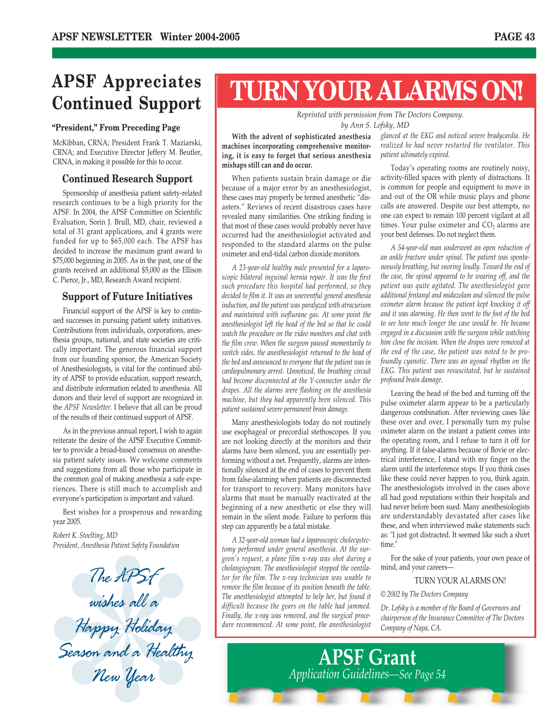### **APSF Appreciates Continued Support**

### **"President," From Preceding Page**

McKibban, CRNA; President Frank T. Maziarski, CRNA; and Executive Director Jeffery M. Beutler, CRNA, in making it possible for this to occur.

### **Continued Research Support**

Sponsorship of anesthesia patient safety-related research continues to be a high priority for the APSF. In 2004, the APSF Committee on Scientific Evaluation, Sorin J. Brull, MD, chair, reviewed a total of 31 grant applications, and 4 grants were funded for up to \$65,000 each. The APSF has decided to increase the maximum grant award to \$75,000 beginning in 2005. As in the past, one of the grants received an additional \$5,000 as the Ellison C. Pierce, Jr., MD, Research Award recipient.

### **Support of Future Initiatives**

Financial support of the APSF is key to continued successes in pursuing patient safety initiatives. Contributions from individuals, corporations, anesthesia groups, national, and state societies are critically important. The generous financial support from our founding sponsor, the American Society of Anesthesiologists, is vital for the continued ability of APSF to provide education, support research, and distribute information related to anesthesia. All donors and their level of support are recognized in the *APSF Newsletter*. I believe that all can be proud of the results of their continued support of APSF.

As in the previous annual report, I wish to again reiterate the desire of the APSF Executive Committee to provide a broad-based consensus on anesthesia patient safety issues. We welcome comments and suggestions from all those who participate in the common goal of making anesthesia a safe experiences. There is still much to accomplish and everyone's participation is important and valued.

Best wishes for a prosperous and rewarding year 2005.

*Robert K. Stoelting, MD President, Anesthesia Patient Safety Foundation*

The AP**S**t wishes all a Happy Holiday Season and a Healthy New Year

## **TURN YOUR ALARMS ON!**

*Reprinted with permission from The Doctors Company. by Ann S. Lofsky, MD*

**With the advent of sophisticated anesthesia machines incorporating comprehensive monitoring, it is easy to forget that serious anesthesia mishaps still can and do occur.**

When patients sustain brain damage or die because of a major error by an anesthesiologist, these cases may properly be termed anesthetic "disasters." Reviews of recent disastrous cases have revealed many similarities. One striking finding is that most of these cases would probably never have occurred had the anesthesiologist activated and responded to the standard alarms on the pulse oximeter and end-tidal carbon dioxide monitors.

*A 23-year-old healthy male presented for a laparoscopic bilateral inguinal hernia repair. It was the first such procedure this hospital had performed, so they decided to film it. It was an uneventful general anesthesia induction, and the patient was paralyzed with atracurium and maintained with isoflurane gas. At some point the anesthesiologist left the head of the bed so that he could watch the procedure on the video monitors and chat with the film crew. When the surgeon paused momentarily to switch sides, the anesthesiologist returned to the head of the bed and announced to everyone that the patient was in cardiopulmonary arrest. Unnoticed, the breathing circuit had become disconnected at the Y-connector under the drapes. All the alarms were flashing on the anesthesia machine, but they had apparently been silenced. This patient sustained severe permanent brain damage.*

Many anesthesiologists today do not routinely use esophageal or precordial stethoscopes. If you are not looking directly at the monitors and their alarms have been silenced, you are essentially performing without a net. Frequently, alarms are intentionally silenced at the end of cases to prevent them from false-alarming when patients are disconnected for transport to recovery. Many monitors have alarms that must be manually reactivated at the beginning of a new anesthetic or else they will remain in the silent mode. Failure to perform this step can apparently be a fatal mistake.

*A 32-year-old woman had a laparoscopic cholecystectomy performed under general anesthesia. At the surgeon's request, a plane film x-ray was shot during a cholangiogram. The anesthesiologist stopped the ventilator for the film. The x-ray technician was unable to remove the film because of its position beneath the table. The anesthesiologist attempted to help her, but found it difficult because the gears on the table had jammed. Finally, the x-ray was removed, and the surgical procedure recommenced. At some point, the anesthesiologist* *glanced at the EKG and noticed severe bradycardia. He realized he had never restarted the ventilator. This patient ultimately expired.*

Today's operating rooms are routinely noisy, activity-filled spaces with plenty of distractions. It is common for people and equipment to move in and out of the OR while music plays and phone calls are answered. Despite our best attempts, no one can expect to remain 100 percent vigilant at all times. Your pulse oximeter and  $CO<sub>2</sub>$  alarms are your best defenses. Do not neglect them.

*A 54-year-old man underwent an open reduction of an ankle fracture under spinal. The patient was spontaneously breathing, but snoring loudly. Toward the end of the case, the spinal appeared to be wearing off, and the patient was quite agitated. The anesthesiologist gave additional fentanyl and midazolam and silenced the pulse oximeter alarm because the patient kept knocking it off and it was alarming. He then went to the foot of the bed to see how much longer the case would be. He became engaged in a discussion with the surgeon while watching him close the incision. When the drapes were removed at the end of the case, the patient was noted to be profoundly cyanotic. There was an agonal rhythm on the EKG. This patient was resuscitated, but he sustained profound brain damage.*

Leaving the head of the bed and turning off the pulse oximeter alarm appear to be a particularly dangerous combination. After reviewing cases like these over and over, I personally turn my pulse oximeter alarm on the instant a patient comes into the operating room, and I refuse to turn it off for anything. If it false-alarms because of Bovie or electrical interference, I stand with my finger on the alarm until the interference stops. If you think cases like these could never happen to you, think again. The anesthesiologists involved in the cases above all had good reputations within their hospitals and had never before been sued. Many anesthesiologists are understandably devastated after cases like these, and when interviewed make statements such as: "I just got distracted. It seemed like such a short time<sup>'</sup>

For the sake of your patients, your own peace of mind, and your careers—

### TURN YOUR ALARMS ON!

### *© 2002 by The Doctors Company*

*Dr. Lofsky is a member of the Board of Governors and chairperson of the Insurance Committee of The Doctors Company of Napa, CA.*

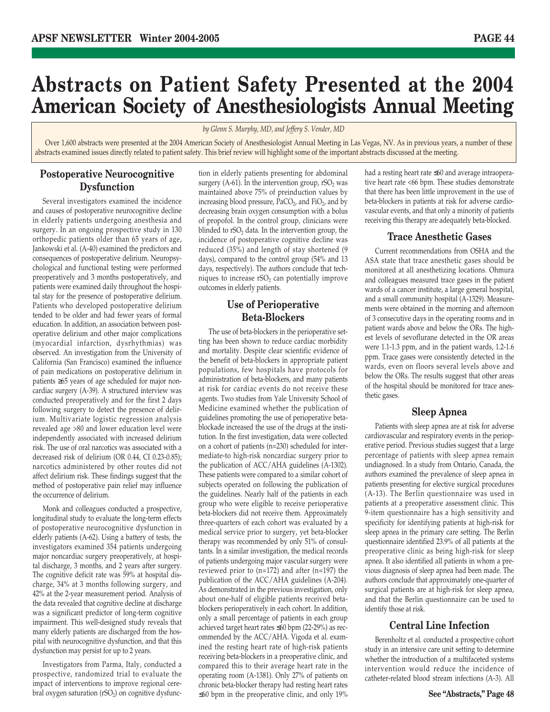### **Abstracts on Patient Safety Presented at the 2004 American Society of Anesthesiologists Annual Meeting**

*by Glenn S. Murphy, MD, and Jeffery S. Vender, MD*

Over 1,600 abstracts were presented at the 2004 American Society of Anesthesiologist Annual Meeting in Las Vegas, NV. As in previous years, a number of these abstracts examined issues directly related to patient safety. This brief review will highlight some of the important abstracts discussed at the meeting.

### **Postoperative Neurocognitive Dysfunction**

Several investigators examined the incidence and causes of postoperative neurocognitive decline in elderly patients undergoing anesthesia and surgery. In an ongoing prospective study in 130 orthopedic patients older than 65 years of age, Jankowski et al. (A-40) examined the predictors and consequences of postoperative delirium. Neuropsychological and functional testing were performed preoperatively and 3 months postoperatively, and patients were examined daily throughout the hospital stay for the presence of postoperative delirium. Patients who developed postoperative delirium tended to be older and had fewer years of formal education. In addition, an association between postoperative delirium and other major complications (myocardial infarction, dysrhythmias) was observed. An investigation from the University of California (San Francisco) examined the influence of pain medications on postoperative delirium in patients ≥65 years of age scheduled for major noncardiac surgery (A-39). A structured interview was conducted preoperatively and for the first 2 days following surgery to detect the presence of delirium. Multivariate logistic regression analysis revealed age >80 and lower education level were independently associated with increased delirium risk. The use of oral narcotics was associated with a decreased risk of delirium (OR 0.44, CI 0.23-0.85); narcotics administered by other routes did not affect delirium risk. These findings suggest that the method of postoperative pain relief may influence the occurrence of delirium.

Monk and colleagues conducted a prospective, longitudinal study to evaluate the long-term effects of postoperative neurocognitive dysfunction in elderly patients (A-62). Using a battery of tests, the investigators examined 354 patients undergoing major noncardiac surgery preoperatively, at hospital discharge, 3 months, and 2 years after surgery. The cognitive deficit rate was 59% at hospital discharge, 34% at 3 months following surgery, and 42% at the 2-year measurement period. Analysis of the data revealed that cognitive decline at discharge was a significant predictor of long-term cognitive impairment. This well-designed study reveals that many elderly patients are discharged from the hospital with neurocognitive dysfunction, and that this dysfunction may persist for up to 2 years.

Investigators from Parma, Italy, conducted a prospective, randomized trial to evaluate the impact of interventions to improve regional cerebral oxygen saturation ( $rSO<sub>2</sub>$ ) on cognitive dysfunction in elderly patients presenting for abdominal surgery (A-61). In the intervention group,  $rSO<sub>2</sub>$  was maintained above 75% of preinduction values by increasing blood pressure,  $\text{PaCO}_2$ , and FiO<sub>2</sub>, and by decreasing brain oxygen consumption with a bolus of propofol. In the control group, clinicians were blinded to  $rSO<sub>2</sub>$  data. In the intervention group, the incidence of postoperative cognitive decline was reduced (35%) and length of stay shortened (9 days), compared to the control group (54% and 13 days, respectively). The authors conclude that techniques to increase  $rSO<sub>2</sub>$  can potentially improve outcomes in elderly patients.

### **Use of Perioperative Beta-Blockers**

The use of beta-blockers in the perioperative setting has been shown to reduce cardiac morbidity and mortality. Despite clear scientific evidence of the benefit of beta-blockers in appropriate patient populations, few hospitals have protocols for administration of beta-blockers, and many patients at risk for cardiac events do not receive these agents. Two studies from Yale University School of Medicine examined whether the publication of guidelines promoting the use of perioperative betablockade increased the use of the drugs at the institution. In the first investigation, data were collected on a cohort of patients (n=230) scheduled for intermediate-to high-risk noncardiac surgery prior to the publication of ACC/AHA guidelines (A-1302). These patients were compared to a similar cohort of subjects operated on following the publication of the guidelines. Nearly half of the patients in each group who were eligible to receive perioperative beta-blockers did not receive them. Approximately three-quarters of each cohort was evaluated by a medical service prior to surgery, yet beta-blocker therapy was recommended by only 51% of consultants. In a similar investigation, the medical records of patients undergoing major vascular surgery were reviewed prior to (n=172) and after (n=197) the publication of the ACC/AHA guidelines (A-204). As demonstrated in the previous investigation, only about one-half of eligible patients received betablockers perioperatively in each cohort. In addition, only a small percentage of patients in each group achieved target heart rates ≤60 bpm (22-29%) as recommended by the ACC/AHA. Vigoda et al. examined the resting heart rate of high-risk patients receiving beta-blockers in a preoperative clinic, and compared this to their average heart rate in the operating room (A-1381). Only 27% of patients on chronic beta-blocker therapy had resting heart rates ≤60 bpm in the preoperative clinic, and only 19%

had a resting heart rate ≤60 and average intraoperative heart rate <66 bpm. These studies demonstrate that there has been little improvement in the use of beta-blockers in patients at risk for adverse cardiovascular events, and that only a minority of patients receiving this therapy are adequately beta-blocked.

### **Trace Anesthetic Gases**

Current recommendations from OSHA and the ASA state that trace anesthetic gases should be monitored at all anesthetizing locations. Ohmura and colleagues measured trace gases in the patient wards of a cancer institute, a large general hospital, and a small community hospital (A-1329). Measurements were obtained in the morning and afternoon of 3 consecutive days in the operating rooms and in patient wards above and below the ORs. The highest levels of sevoflurane detected in the OR areas were 1.1-1.3 ppm, and in the patient wards, 1.2-1.6 ppm. Trace gases were consistently detected in the wards, even on floors several levels above and below the ORs. The results suggest that other areas of the hospital should be monitored for trace anesthetic gases.

### **Sleep Apnea**

Patients with sleep apnea are at risk for adverse cardiovascular and respiratory events in the perioperative period. Previous studies suggest that a large percentage of patients with sleep apnea remain undiagnosed. In a study from Ontario, Canada, the authors examined the prevalence of sleep apnea in patients presenting for elective surgical procedures (A-13). The Berlin questionnaire was used in patients at a preoperative assessment clinic. This 9-item questionnaire has a high sensitivity and specificity for identifying patients at high-risk for sleep apnea in the primary care setting. The Berlin questionnaire identified 23.9% of all patients at the preoperative clinic as being high-risk for sleep apnea. It also identified all patients in whom a previous diagnosis of sleep apnea had been made. The authors conclude that approximately one-quarter of surgical patients are at high-risk for sleep apnea, and that the Berlin questionnaire can be used to identify those at risk.

### **Central Line Infection**

Berenholtz et al. conducted a prospective cohort study in an intensive care unit setting to determine whether the introduction of a multifaceted systems intervention would reduce the incidence of catheter-related blood stream infections (A-3). All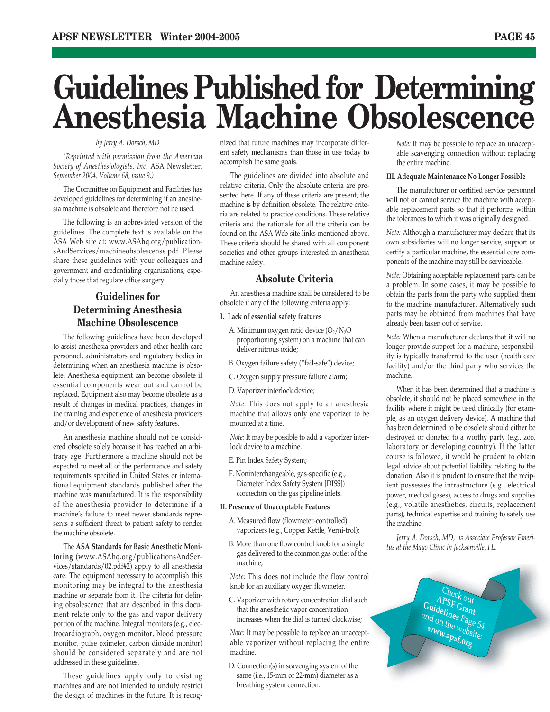# **Guidelines Published for Determining Anesthesia Machine Obsolescence**

### *by Jerry A. Dorsch, MD*

*(Reprinted with permission from the American Society of Anesthesiologists, Inc.* ASA Newsletter*, September 2004, Volume 68, issue 9.)*

The Committee on Equipment and Facilities has developed guidelines for determining if an anesthesia machine is obsolete and therefore not be used.

The following is an abbreviated version of the guidelines. The complete text is available on the ASA Web site at: www.ASAhq.org/publicationsAndServices/machineobsolescense.pdf. Please share these guidelines with your colleagues and government and credentialing organizations, especially those that regulate office surgery.

### **Guidelines for Determining Anesthesia Machine Obsolescence**

The following guidelines have been developed to assist anesthesia providers and other health care personnel, administrators and regulatory bodies in determining when an anesthesia machine is obsolete. Anesthesia equipment can become obsolete if essential components wear out and cannot be replaced. Equipment also may become obsolete as a result of changes in medical practices, changes in the training and experience of anesthesia providers and/or development of new safety features.

An anesthesia machine should not be considered obsolete solely because it has reached an arbitrary age. Furthermore a machine should not be expected to meet all of the performance and safety requirements specified in United States or international equipment standards published after the machine was manufactured. It is the responsibility of the anesthesia provider to determine if a machine's failure to meet newer standards represents a sufficient threat to patient safety to render the machine obsolete.

The **ASA Standards for Basic Anesthetic Monitoring** (www.ASAhq.org/publicationsAndServices/standards/02.pdf#2) apply to all anesthesia care. The equipment necessary to accomplish this monitoring may be integral to the anesthesia machine or separate from it. The criteria for defining obsolescence that are described in this document relate only to the gas and vapor delivery portion of the machine. Integral monitors (e.g., electrocardiograph, oxygen monitor, blood pressure monitor, pulse oximeter, carbon dioxide monitor) should be considered separately and are not addressed in these guidelines.

These guidelines apply only to existing machines and are not intended to unduly restrict the design of machines in the future. It is recognized that future machines may incorporate different safety mechanisms than those in use today to accomplish the same goals.

The guidelines are divided into absolute and relative criteria. Only the absolute criteria are presented here. If any of these criteria are present, the machine is by definition obsolete. The relative criteria are related to practice conditions. These relative criteria and the rationale for all the criteria can be found on the ASA Web site links mentioned above. These criteria should be shared with all component societies and other groups interested in anesthesia machine safety.

### **Absolute Criteria**

An anesthesia machine shall be considered to be obsolete if any of the following criteria apply:

#### **I. Lack of essential safety features**

- A. Minimum oxygen ratio device  $(O_2/N_2O)$ proportioning system) on a machine that can deliver nitrous oxide;
- B. Oxygen failure safety ("fail-safe") device;
- C. Oxygen supply pressure failure alarm;
- D. Vaporizer interlock device;

*Note:* This does not apply to an anesthesia machine that allows only one vaporizer to be mounted at a time.

*Note:* It may be possible to add a vaporizer interlock device to a machine.

- E. Pin Index Safety System;
- F. Noninterchangeable, gas-specific (e.g., Diameter Index Safety System [DISS]) connectors on the gas pipeline inlets.

#### **II. Presence of Unacceptable Features**

- A. Measured flow (flowmeter-controlled) vaporizers (e.g., Copper Kettle, Verni-trol);
- B. More than one flow control knob for a single gas delivered to the common gas outlet of the machine;

*Note:* This does not include the flow control knob for an auxiliary oxygen flowmeter.

C. Vaporizer with rotary concentration dial such that the anesthetic vapor concentration increases when the dial is turned clockwise;

*Note:* It may be possible to replace an unacceptable vaporizer without replacing the entire machine.

D. Connection(s) in scavenging system of the same (i.e., 15-mm or 22-mm) diameter as a breathing system connection.

*Note:* It may be possible to replace an unacceptable scavenging connection without replacing the entire machine.

#### **III. Adequate Maintenance No Longer Possible**

The manufacturer or certified service personnel will not or cannot service the machine with acceptable replacement parts so that it performs within the tolerances to which it was originally designed.

*Note:* Although a manufacturer may declare that its own subsidiaries will no longer service, support or certify a particular machine, the essential core components of the machine may still be serviceable.

*Note:* Obtaining acceptable replacement parts can be a problem. In some cases, it may be possible to obtain the parts from the party who supplied them to the machine manufacturer. Alternatively such parts may be obtained from machines that have already been taken out of service.

*Note:* When a manufacturer declares that it will no longer provide support for a machine, responsibility is typically transferred to the user (health care facility) and/or the third party who services the machine.

When it has been determined that a machine is obsolete, it should not be placed somewhere in the facility where it might be used clinically (for example, as an oxygen delivery device). A machine that has been determined to be obsolete should either be destroyed or donated to a worthy party (e.g., zoo, laboratory or developing country). If the latter course is followed, it would be prudent to obtain legal advice about potential liability relating to the donation. Also it is prudent to ensure that the recipient possesses the infrastructure (e.g., electrical power, medical gases), access to drugs and supplies (e.g., volatile anesthetics, circuits, replacement parts), technical expertise and training to safely use the machine.

*Jerry A. Dorsch, MD, is Associate Professor Emeritus at the Mayo Clinic in Jacksonville, FL.*

> Check out **APSF Grant**  Guidelines Page 54 and on the page 5.<br> **www.apst www.apsf.org**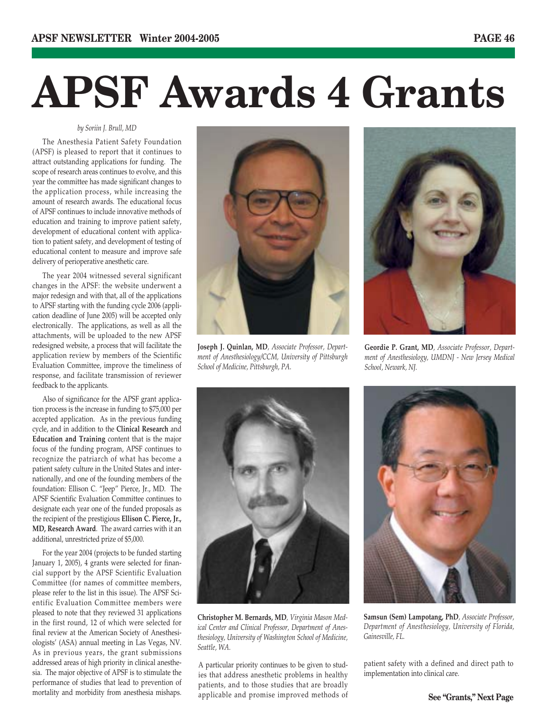# **APSF Awards 4 Grants**

*by Soriin J. Brull, MD*

The Anesthesia Patient Safety Foundation (APSF) is pleased to report that it continues to attract outstanding applications for funding. The scope of research areas continues to evolve, and this year the committee has made significant changes to the application process, while increasing the amount of research awards. The educational focus of APSF continues to include innovative methods of education and training to improve patient safety, development of educational content with application to patient safety, and development of testing of educational content to measure and improve safe delivery of perioperative anesthetic care.

The year 2004 witnessed several significant changes in the APSF: the website underwent a major redesign and with that, all of the applications to APSF starting with the funding cycle 2006 (application deadline of June 2005) will be accepted only electronically. The applications, as well as all the attachments, will be uploaded to the new APSF redesigned website, a process that will facilitate the application review by members of the Scientific Evaluation Committee, improve the timeliness of response, and facilitate transmission of reviewer feedback to the applicants.

Also of significance for the APSF grant application process is the increase in funding to \$75,000 per accepted application. As in the previous funding cycle, and in addition to the **Clinical Research** and **Education and Training** content that is the major focus of the funding program, APSF continues to recognize the patriarch of what has become a patient safety culture in the United States and internationally, and one of the founding members of the foundation: Ellison C. "Jeep" Pierce, Jr., MD. The APSF Scientific Evaluation Committee continues to designate each year one of the funded proposals as the recipient of the prestigious **Ellison C. Pierce, Jr., MD, Research Award**. The award carries with it an additional, unrestricted prize of \$5,000.

For the year 2004 (projects to be funded starting January 1, 2005), 4 grants were selected for financial support by the APSF Scientific Evaluation Committee (for names of committee members, please refer to the list in this issue). The APSF Scientific Evaluation Committee members were pleased to note that they reviewed 31 applications in the first round, 12 of which were selected for final review at the American Society of Anesthesiologists' (ASA) annual meeting in Las Vegas, NV. As in previous years, the grant submissions addressed areas of high priority in clinical anesthesia. The major objective of APSF is to stimulate the performance of studies that lead to prevention of mortality and morbidity from anesthesia mishaps.



**Joseph J. Quinlan, MD***, Associate Professor, Department of Anesthesiology/CCM, University of Pittsburgh School of Medicine, Pittsburgh, PA.*



**Geordie P. Grant, MD***, Associate Professor, Department of Anesthesiology, UMDNJ - New Jersey Medical School, Newark, NJ.*



**Christopher M. Bernards, MD***, Virginia Mason Medical Center and Clinical Professor, Department of Anesthesiology, University of Washington School of Medicine, Seattle, WA.*

A particular priority continues to be given to studies that address anesthetic problems in healthy patients, and to those studies that are broadly applicable and promise improved methods of



**Samsun (Sem) Lampotang, PhD***, Associate Professor, Department of Anesthesiology, University of Florida, Gainesville, FL.*

patient safety with a defined and direct path to implementation into clinical care.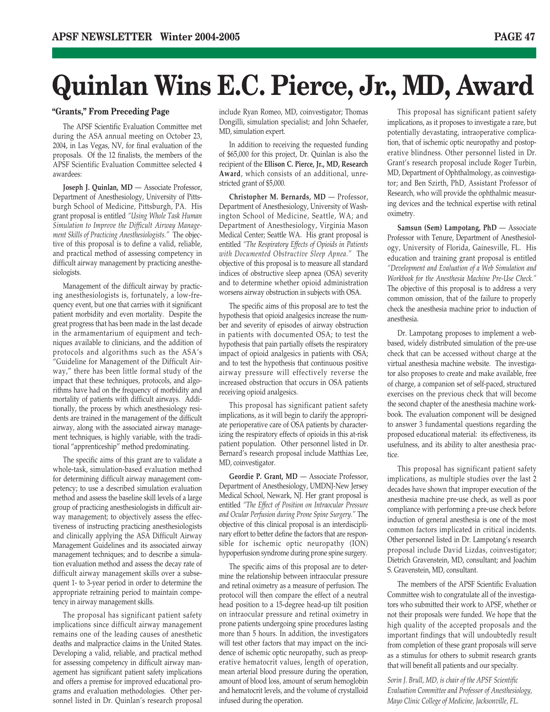# **Quinlan Wins E.C. Pierce, Jr., MD, Award**

### **"Grants," From Preceding Page**

The APSF Scientific Evaluation Committee met during the ASA annual meeting on October 23, 2004, in Las Vegas, NV, for final evaluation of the proposals. Of the 12 finalists, the members of the APSF Scientific Evaluation Committee selected 4 awardees:

**Joseph J. Quinlan, MD** — Associate Professor, Department of Anesthesiology, University of Pittsburgh School of Medicine, Pittsburgh, PA. His grant proposal is entitled *"Using Whole Task Human Simulation to Improve the Difficult Airway Management Skills of Practicing Anesthesiologists."* The objective of this proposal is to define a valid, reliable, and practical method of assessing competency in difficult airway management by practicing anesthesiologists.

Management of the difficult airway by practicing anesthesiologists is, fortunately, a low-frequency event, but one that carries with it significant patient morbidity and even mortality. Despite the great progress that has been made in the last decade in the armamentarium of equipment and techniques available to clinicians, and the addition of protocols and algorithms such as the ASA's "Guideline for Management of the Difficult Airway," there has been little formal study of the impact that these techniques, protocols, and algorithms have had on the frequency of morbidity and mortality of patients with difficult airways. Additionally, the process by which anesthesiology residents are trained in the management of the difficult airway, along with the associated airway management techniques, is highly variable, with the traditional "apprenticeship" method predominating.

The specific aims of this grant are to validate a whole-task, simulation-based evaluation method for determining difficult airway management competency; to use a described simulation evaluation method and assess the baseline skill levels of a large group of practicing anesthesiologists in difficult airway management; to objectively assess the effectiveness of instructing practicing anesthesiologists and clinically applying the ASA Difficult Airway Management Guidelines and its associated airway management techniques; and to describe a simulation evaluation method and assess the decay rate of difficult airway management skills over a subsequent 1- to 3-year period in order to determine the appropriate retraining period to maintain competency in airway management skills.

The proposal has significant patient safety implications since difficult airway management remains one of the leading causes of anesthetic deaths and malpractice claims in the United States. Developing a valid, reliable, and practical method for assessing competency in difficult airway management has significant patient safety implications and offers a premise for improved educational programs and evaluation methodologies. Other personnel listed in Dr. Quinlan's research proposal include Ryan Romeo, MD, coinvestigator; Thomas Dongilli, simulation specialist; and John Schaefer, MD, simulation expert.

In addition to receiving the requested funding of \$65,000 for this project, Dr. Quinlan is also the recipient of the **Ellison C. Pierce, Jr., MD, Research Award**, which consists of an additional, unrestricted grant of \$5,000.

**Christopher M. Bernards, MD** — Professor, Department of Anesthesiology, University of Washington School of Medicine, Seattle, WA; and Department of Anesthesiology, Virginia Mason Medical Center; Seattle WA. His grant proposal is entitled *"The Respiratory Effects of Opioids in Patients with Documented Obstructive Sleep Apnea."* The objective of this proposal is to measure all standard indices of obstructive sleep apnea (OSA) severity and to determine whether opioid administration worsens airway obstruction in subjects with OSA.

The specific aims of this proposal are to test the hypothesis that opioid analgesics increase the number and severity of episodes of airway obstruction in patients with documented OSA; to test the hypothesis that pain partially offsets the respiratory impact of opioid analgesics in patients with OSA; and to test the hypothesis that continuous positive airway pressure will effectively reverse the increased obstruction that occurs in OSA patients receiving opioid analgesics.

This proposal has significant patient safety implications, as it will begin to clarify the appropriate perioperative care of OSA patients by characterizing the respiratory effects of opioids in this at-risk patient population. Other personnel listed in Dr. Bernard's research proposal include Matthias Lee, MD, coinvestigator.

Geordie P. Grant, MD - Associate Professor, Department of Anesthesiology, UMDNJ-New Jersey Medical School, Newark, NJ. Her grant proposal is entitled *"The Effect of Position on Intraocular Pressure and Ocular Perfusion during Prone Spine Surgery."* The objective of this clinical proposal is an interdisciplinary effort to better define the factors that are responsible for ischemic optic neuropathy (ION) hypoperfusion syndrome during prone spine surgery.

The specific aims of this proposal are to determine the relationship between intraocular pressure and retinal oximetry as a measure of perfusion. The protocol will then compare the effect of a neutral head position to a 15-degree head-up tilt position on intraocular pressure and retinal oximetry in prone patients undergoing spine procedures lasting more than 5 hours. In addition, the investigators will test other factors that may impact on the incidence of ischemic optic neuropathy, such as preoperative hematocrit values, length of operation, mean arterial blood pressure during the operation, amount of blood loss, amount of serum hemoglobin and hematocrit levels, and the volume of crystalloid infused during the operation.

This proposal has significant patient safety implications, as it proposes to investigate a rare, but potentially devastating, intraoperative complication, that of ischemic optic neuropathy and postoperative blindness. Other personnel listed in Dr. Grant's research proposal include Roger Turbin, MD, Department of Ophthalmology, as coinvestigator; and Ben Szirth, PhD, Assistant Professor of Research, who will provide the ophthalmic measuring devices and the technical expertise with retinal oximetry.

**Samsun (Sem) Lampotang, PhD** — Associate Professor with Tenure, Department of Anesthesiology, University of Florida, Gainesville, FL. His education and training grant proposal is entitled *"Development and Evaluation of a Web Simulation and Workbook for the Anesthesia Machine Pre-Use Check."* The objective of this proposal is to address a very common omission, that of the failure to properly check the anesthesia machine prior to induction of anesthesia.

Dr. Lampotang proposes to implement a webbased, widely distributed simulation of the pre-use check that can be accessed without charge at the virtual anesthesia machine website. The investigator also proposes to create and make available, free of charge, a companion set of self-paced, structured exercises on the previous check that will become the second chapter of the anesthesia machine workbook. The evaluation component will be designed to answer 3 fundamental questions regarding the proposed educational material: its effectiveness, its usefulness, and its ability to alter anesthesia practice.

This proposal has significant patient safety implications, as multiple studies over the last 2 decades have shown that improper execution of the anesthesia machine pre-use check, as well as poor compliance with performing a pre-use check before induction of general anesthesia is one of the most common factors implicated in critical incidents. Other personnel listed in Dr. Lampotang's research proposal include David Lizdas, coinvestigator; Dietrich Gravenstein, MD, consultant; and Joachim S. Gravenstein, MD, consultant.

The members of the APSF Scientific Evaluation Committee wish to congratulate all of the investigators who submitted their work to APSF, whether or not their proposals were funded. We hope that the high quality of the accepted proposals and the important findings that will undoubtedly result from completion of these grant proposals will serve as a stimulus for others to submit research grants that will benefit all patients and our specialty.

*Sorin J. Brull, MD, is chair of the APSF Scientific Evaluation Committee and Professor of Anesthesiology, Mayo Clinic College of Medicine, Jacksonville, FL.*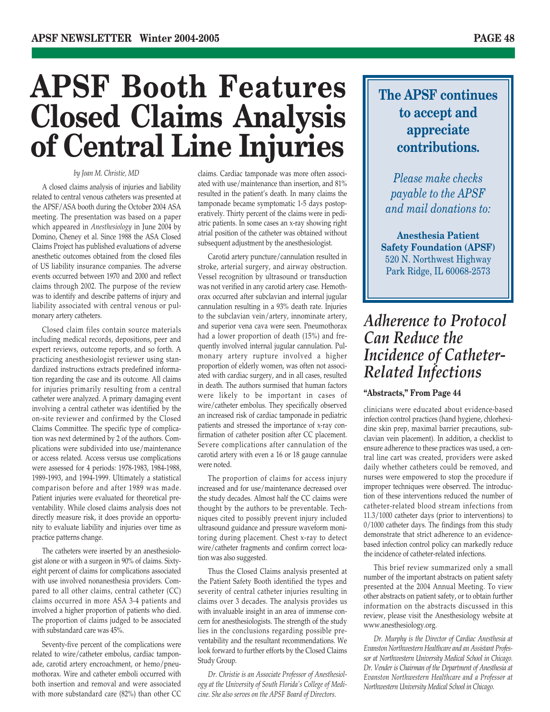# **APSF Booth Features Closed Claims Analysis of Central Line Injuries**

### *by Joan M. Christie, MD*

A closed claims analysis of injuries and liability related to central venous catheters was presented at the APSF/ASA booth during the October 2004 ASA meeting. The presentation was based on a paper which appeared in *Anesthesiology* in June 2004 by Domino, Cheney et al. Since 1988 the ASA Closed Claims Project has published evaluations of adverse anesthetic outcomes obtained from the closed files of US liability insurance companies. The adverse events occurred between 1970 and 2000 and reflect claims through 2002. The purpose of the review was to identify and describe patterns of injury and liability associated with central venous or pulmonary artery catheters.

Closed claim files contain source materials including medical records, depositions, peer and expert reviews, outcome reports, and so forth. A practicing anesthesiologist reviewer using standardized instructions extracts predefined information regarding the case and its outcome. All claims for injuries primarily resulting from a central catheter were analyzed. A primary damaging event involving a central catheter was identified by the on-site reviewer and confirmed by the Closed Claims Committee. The specific type of complication was next determined by 2 of the authors. Complications were subdivided into use/maintenance or access related. Access versus use complications were assessed for 4 periods: 1978-1983, 1984-1988, 1989-1993, and 1994-1999. Ultimately a statistical comparison before and after 1989 was made. Patient injuries were evaluated for theoretical preventability. While closed claims analysis does not directly measure risk, it does provide an opportunity to evaluate liability and injuries over time as practice patterns change.

The catheters were inserted by an anesthesiologist alone or with a surgeon in 90% of claims. Sixtyeight percent of claims for complications associated with use involved nonanesthesia providers. Compared to all other claims, central catheter (CC) claims occurred in more ASA 3-4 patients and involved a higher proportion of patients who died. The proportion of claims judged to be associated with substandard care was 45%.

Seventy-five percent of the complications were related to wire/catheter embolus, cardiac tamponade, carotid artery encroachment, or hemo/pneumothorax. Wire and catheter emboli occurred with both insertion and removal and were associated with more substandard care (82%) than other CC

claims. Cardiac tamponade was more often associated with use/maintenance than insertion, and 81% resulted in the patient's death. In many claims the tamponade became symptomatic 1-5 days postoperatively. Thirty percent of the claims were in pediatric patients. In some cases an x-ray showing right atrial position of the catheter was obtained without subsequent adjustment by the anesthesiologist.

Carotid artery puncture/cannulation resulted in stroke, arterial surgery, and airway obstruction. Vessel recognition by ultrasound or transduction was not verified in any carotid artery case. Hemothorax occurred after subclavian and internal jugular cannulation resulting in a 93% death rate. Injuries to the subclavian vein/artery, innominate artery, and superior vena cava were seen. Pneumothorax had a lower proportion of death (15%) and frequently involved internal jugular cannulation. Pulmonary artery rupture involved a higher proportion of elderly women, was often not associated with cardiac surgery, and in all cases, resulted in death. The authors surmised that human factors were likely to be important in cases of wire/catheter embolus. They specifically observed an increased risk of cardiac tamponade in pediatric patients and stressed the importance of x-ray confirmation of catheter position after CC placement. Severe complications after cannulation of the carotid artery with even a 16 or 18 gauge cannulae were noted.

The proportion of claims for access injury increased and for use/maintenance decreased over the study decades. Almost half the CC claims were thought by the authors to be preventable. Techniques cited to possibly prevent injury included ultrasound guidance and pressure waveform monitoring during placement. Chest x-ray to detect wire/catheter fragments and confirm correct location was also suggested.

Thus the Closed Claims analysis presented at the Patient Safety Booth identified the types and severity of central catheter injuries resulting in claims over 3 decades. The analysis provides us with invaluable insight in an area of immense concern for anesthesiologists. The strength of the study lies in the conclusions regarding possible preventability and the resultant recommendations. We look forward to further efforts by the Closed Claims Study Group.

*Dr. Christie is an Associate Professor of Anesthesiology at the University of South Florida's College of Medicine. She also serves on the APSF Board of Directors.*

### **The APSF continues to accept and appreciate contributions.**

*Please make checks payable to the APSF and mail donations to:*

**Anesthesia Patient Safety Foundation (APSF)** 520 N. Northwest Highway Park Ridge, IL 60068-2573

### *Adherence to Protocol Can Reduce the Incidence of Catheter-Related Infections*

### **"Abstracts," From Page 44**

clinicians were educated about evidence-based infection control practices (hand hygiene, chlorhexidine skin prep, maximal barrier precautions, subclavian vein placement). In addition, a checklist to ensure adherence to these practices was used, a central line cart was created, providers were asked daily whether catheters could be removed, and nurses were empowered to stop the procedure if improper techniques were observed. The introduction of these interventions reduced the number of catheter-related blood stream infections from 11.3/1000 catheter days (prior to interventions) to 0/1000 catheter days. The findings from this study demonstrate that strict adherence to an evidencebased infection control policy can markedly reduce the incidence of catheter-related infections.

This brief review summarized only a small number of the important abstracts on patient safety presented at the 2004 Annual Meeting. To view other abstracts on patient safety, or to obtain further information on the abstracts discussed in this review, please visit the Anesthesiology website at www.anesthesiology.org.

*Dr. Murphy is the Director of Cardiac Anesthesia at Evanston Northwestern Healthcare and an Assistant Professor at Northwestern University Medical School in Chicago. Dr. Vender is Chairman of the Department of Anesthesia at Evanston Northwestern Healthcare and a Professor at Northwestern University Medical School in Chicago.*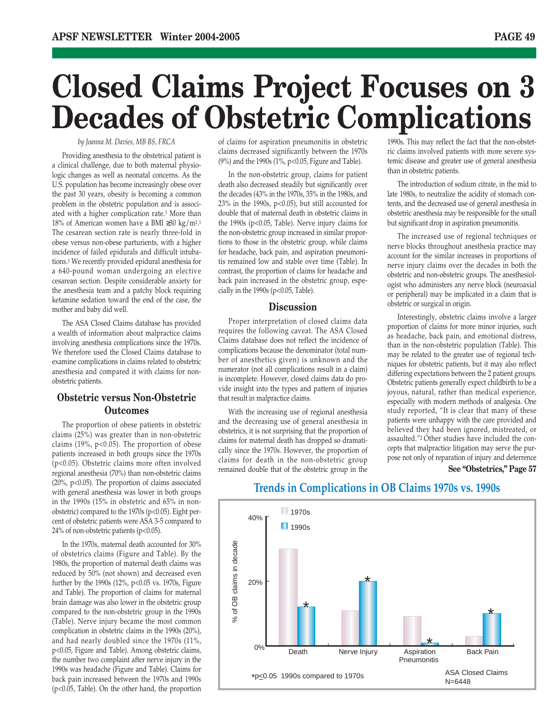# **Closed Claims Project Focuses on 3 Decades of Obstetric Complications**

#### *by Joanna M. Davies, MB BS, FRCA*

Providing anesthesia to the obstetrical patient is a clinical challenge, due to both maternal physiologic changes as well as neonatal concerns. As the U.S. population has become increasingly obese over the past 30 years, obesity is becoming a common problem in the obstetric population and is associated with a higher complication rate.1 More than 18% of American women have a BMI ≥30 kg/m2.1 The cesarean section rate is nearly three-fold in obese versus non-obese parturients, with a higher incidence of failed epidurals and difficult intubations.1 We recently provided epidural anesthesia for a 640-pound woman undergoing an elective cesarean section. Despite considerable anxiety for the anesthesia team and a patchy block requiring ketamine sedation toward the end of the case, the mother and baby did well.

The ASA Closed Claims database has provided a wealth of information about malpractice claims involving anesthesia complications since the 1970s. We therefore used the Closed Claims database to examine complications in claims related to obstetric anesthesia and compared it with claims for nonobstetric patients.

### **Obstetric versus Non-Obstetric Outcomes**

The proportion of obese patients in obstetric claims (25%) was greater than in non-obstetric claims (19%, p<0.05). The proportion of obese patients increased in both groups since the 1970s (p<0.05). Obstetric claims more often involved regional anesthesia (70%) than non-obstetric claims (20%, p<0.05). The proportion of claims associated with general anesthesia was lower in both groups in the 1990s (15% in obstetric and 65% in nonobstetric) compared to the 1970s (p<0.05). Eight percent of obstetric patients were ASA 3-5 compared to 24% of non-obstetric patients (p<0.05).

In the 1970s, maternal death accounted for 30% of obstetrics claims (Figure and Table). By the 1980s, the proportion of maternal death claims was reduced by 50% (not shown) and decreased even further by the 1990s (12%, p<0.05 vs. 1970s, Figure and Table). The proportion of claims for maternal brain damage was also lower in the obstetric group compared to the non-obstetric group in the 1990s (Table). Nerve injury became the most common complication in obstetric claims in the 1990s (20%), and had nearly doubled since the 1970s (11%, p<0.05, Figure and Table). Among obstetric claims, the number two complaint after nerve injury in the 1990s was headache (Figure and Table). Claims for back pain increased between the 1970s and 1990s (p<0.05, Table). On the other hand, the proportion

of claims for aspiration pneumonitis in obstetric claims decreased significantly between the 1970s (9%) and the 1990s (1%, p<0.05, Figure and Table).

In the non-obstetric group, claims for patient death also decreased steadily but significantly over the decades (43% in the 1970s, 35% in the 1980s, and  $23\%$  in the 1990s, p<0.05), but still accounted for double that of maternal death in obstetric claims in the 1990s (p<0.05, Table). Nerve injury claims for the non-obstetric group increased in similar proportions to those in the obstetric group, while claims for headache, back pain, and aspiration pneumonitis remained low and stable over time (Table). In contrast, the proportion of claims for headache and back pain increased in the obstetric group, especially in the 1990s ( $p<0.05$ , Table).

### **Discussion**

Proper interpretation of closed claims data requires the following caveat. The ASA Closed Claims database does not reflect the incidence of complications because the denominator (total number of anesthetics given) is unknown and the numerator (not all complications result in a claim) is incomplete. However, closed claims data do provide insight into the types and pattern of injuries that result in malpractice claims.

With the increasing use of regional anesthesia and the decreasing use of general anesthesia in obstetrics, it is not surprising that the proportion of claims for maternal death has dropped so dramatically since the 1970s. However, the proportion of claims for death in the non-obstetric group remained double that of the obstetric group in the

1990s. This may reflect the fact that the non-obstetric claims involved patients with more severe systemic disease and greater use of general anesthesia than in obstetric patients.

The introduction of sodium citrate, in the mid to late 1980s, to neutralize the acidity of stomach contents, and the decreased use of general anesthesia in obstetric anesthesia may be responsible for the small but significant drop in aspiration pneumonitis.

The increased use of regional techniques or nerve blocks throughout anesthesia practice may account for the similar increases in proportions of nerve injury claims over the decades in both the obstetric and non-obstetric groups. The anesthesiologist who administers any nerve block (neuroaxial or peripheral) may be implicated in a claim that is obstetric or surgical in origin.

Interestingly, obstetric claims involve a larger proportion of claims for more minor injuries, such as headache, back pain, and emotional distress, than in the non-obstetric population (Table). This may be related to the greater use of regional techniques for obstetric patients, but it may also reflect differing expectations between the 2 patient groups. Obstetric patients generally expect childbirth to be a joyous, natural, rather than medical experience, especially with modern methods of analgesia. One study reported, "It is clear that many of these patients were unhappy with the care provided and believed they had been ignored, mistreated, or assaulted."2 Other studies have included the concepts that malpractice litigation may serve the purpose not only of reparation of injury and deterrence

#### **See "Obstetrics," Page 57**



### **Trends in Complications in OB Claims 1970s vs. 1990s**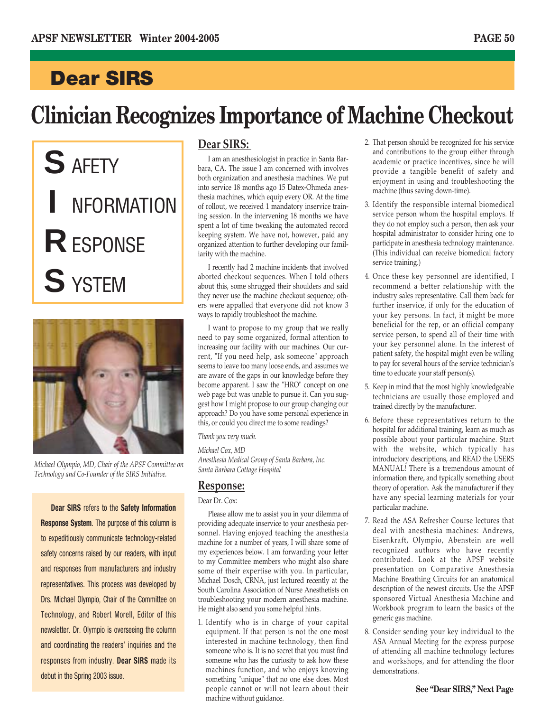# **Clinician Recognizes Importance of Machine Checkout**

**S** AFETY **I** NFORMATION **R**ESPONSE **S** YSTEM



*Michael Olympio, MD, Chair of the APSF Committee on Technology and Co-Founder of the SIRS Initiative.*

**Dear SIRS** refers to the **Safety Information Response System**. The purpose of this column is to expeditiously communicate technology-related safety concerns raised by our readers, with input and responses from manufacturers and industry representatives. This process was developed by Drs. Michael Olympio, Chair of the Committee on Technology, and Robert Morell, Editor of this newsletter. Dr. Olympio is overseeing the column and coordinating the readers' inquiries and the responses from industry. **Dear SIRS** made its debut in the Spring 2003 issue.

### **Dear SIRS:**

I am an anesthesiologist in practice in Santa Barbara, CA. The issue I am concerned with involves both organization and anesthesia machines. We put into service 18 months ago 15 Datex-Ohmeda anesthesia machines, which equip every OR. At the time of rollout, we received 1 mandatory inservice training session. In the intervening 18 months we have spent a lot of time tweaking the automated record keeping system. We have not, however, paid any organized attention to further developing our familiarity with the machine.

I recently had 2 machine incidents that involved aborted checkout sequences. When I told others about this, some shrugged their shoulders and said they never use the machine checkout sequence; others were appalled that everyone did not know 3 ways to rapidly troubleshoot the machine.

I want to propose to my group that we really need to pay some organized, formal attention to increasing our facility with our machines. Our current, "If you need help, ask someone" approach seems to leave too many loose ends, and assumes we are aware of the gaps in our knowledge before they become apparent. I saw the "HRO" concept on one web page but was unable to pursue it. Can you suggest how I might propose to our group changing our approach? Do you have some personal experience in this, or could you direct me to some readings?

*Thank you very much.*

*Michael Cox, MD Anesthesia Medical Group of Santa Barbara, Inc. Santa Barbara Cottage Hospital*

### **Response:**

Dear Dr. Cox:

Please allow me to assist you in your dilemma of providing adequate inservice to your anesthesia personnel. Having enjoyed teaching the anesthesia machine for a number of years, I will share some of my experiences below. I am forwarding your letter to my Committee members who might also share some of their expertise with you. In particular, Michael Dosch, CRNA, just lectured recently at the South Carolina Association of Nurse Anesthetists on troubleshooting your modern anesthesia machine. He might also send you some helpful hints.

1. Identify who is in charge of your capital equipment. If that person is not the one most interested in machine technology, then find someone who is. It is no secret that you must find someone who has the curiosity to ask how these machines function, and who enjoys knowing something "unique" that no one else does. Most people cannot or will not learn about their machine without guidance.

- 2. That person should be recognized for his service and contributions to the group either through academic or practice incentives, since he will provide a tangible benefit of safety and enjoyment in using and troubleshooting the machine (thus saving down-time).
- 3. Identify the responsible internal biomedical service person whom the hospital employs. If they do not employ such a person, then ask your hospital administrator to consider hiring one to participate in anesthesia technology maintenance. (This individual can receive biomedical factory service training.)
- 4. Once these key personnel are identified, I recommend a better relationship with the industry sales representative. Call them back for further inservice, if only for the education of your key persons. In fact, it might be more beneficial for the rep, or an official company service person, to spend all of their time with your key personnel alone. In the interest of patient safety, the hospital might even be willing to pay for several hours of the service technician's time to educate your staff person(s).
- 5. Keep in mind that the most highly knowledgeable technicians are usually those employed and trained directly by the manufacturer.
- 6. Before these representatives return to the hospital for additional training, learn as much as possible about your particular machine. Start with the website, which typically has introductory descriptions, and READ the USERS MANUAL! There is a tremendous amount of information there, and typically something about theory of operation. Ask the manufacturer if they have any special learning materials for your particular machine.
- 7. Read the ASA Refresher Course lectures that deal with anesthesia machines: Andrews, Eisenkraft, Olympio, Abenstein are well recognized authors who have recently contributed. Look at the APSF website presentation on Comparative Anesthesia Machine Breathing Circuits for an anatomical description of the newest circuits. Use the APSF sponsored Virtual Anesthesia Machine and Workbook program to learn the basics of the generic gas machine.
- 8. Consider sending your key individual to the ASA Annual Meeting for the express purpose of attending all machine technology lectures and workshops, and for attending the floor demonstrations.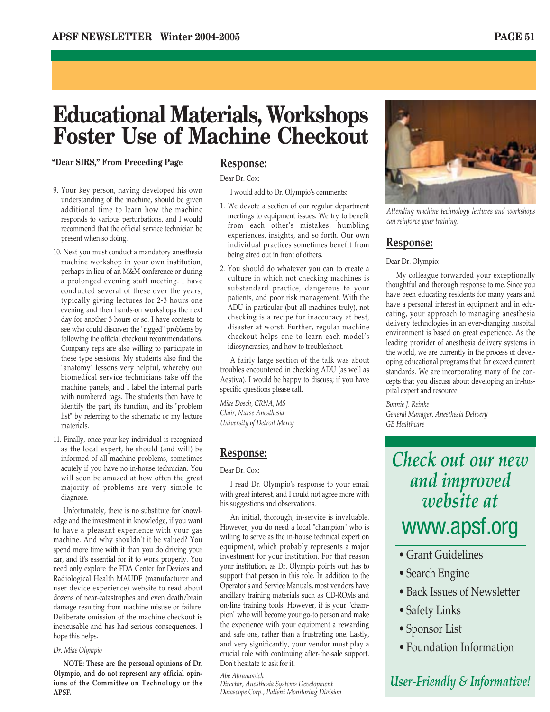### **Educational Materials, Workshops Foster Use of Machine Checkout**

**"Dear SIRS," From Preceding Page**

- 9. Your key person, having developed his own understanding of the machine, should be given additional time to learn how the machine responds to various perturbations, and I would recommend that the official service technician be present when so doing.
- 10. Next you must conduct a mandatory anesthesia machine workshop in your own institution, perhaps in lieu of an M&M conference or during a prolonged evening staff meeting. I have conducted several of these over the years, typically giving lectures for 2-3 hours one evening and then hands-on workshops the next day for another 3 hours or so. I have contests to see who could discover the "rigged" problems by following the official checkout recommendations. Company reps are also willing to participate in these type sessions. My students also find the "anatomy" lessons very helpful, whereby our biomedical service technicians take off the machine panels, and I label the internal parts with numbered tags. The students then have to identify the part, its function, and its "problem list" by referring to the schematic or my lecture materials.
- 11. Finally, once your key individual is recognized as the local expert, he should (and will) be informed of all machine problems, sometimes acutely if you have no in-house technician. You will soon be amazed at how often the great majority of problems are very simple to diagnose.

Unfortunately, there is no substitute for knowledge and the investment in knowledge, if you want to have a pleasant experience with your gas machine. And why shouldn't it be valued? You spend more time with it than you do driving your car, and it's essential for it to work properly. You need only explore the FDA Center for Devices and Radiological Health MAUDE (manufacturer and user device experience) website to read about dozens of near-catastrophes and even death/brain damage resulting from machine misuse or failure. Deliberate omission of the machine checkout is inexcusable and has had serious consequences. I hope this helps.

#### *Dr. Mike Olympio*

**NOTE: These are the personal opinions of Dr. Olympio, and do not represent any official opinions of the Committee on Technology or the APSF.**

### **Response:**

Dear Dr. Cox:

I would add to Dr. Olympio's comments:

- 1. We devote a section of our regular department meetings to equipment issues. We try to benefit from each other's mistakes, humbling experiences, insights, and so forth. Our own individual practices sometimes benefit from being aired out in front of others.
- 2. You should do whatever you can to create a culture in which not checking machines is substandard practice, dangerous to your patients, and poor risk management. With the ADU in particular (but all machines truly), not checking is a recipe for inaccuracy at best, disaster at worst. Further, regular machine checkout helps one to learn each model's idiosyncrasies, and how to troubleshoot.

A fairly large section of the talk was about troubles encountered in checking ADU (as well as Aestiva). I would be happy to discuss; if you have specific questions please call.

*Mike Dosch, CRNA, MS Chair, Nurse Anesthesia University of Detroit Mercy* 

### **Response:**

Dear Dr. Cox:

I read Dr. Olympio's response to your email with great interest, and I could not agree more with his suggestions and observations.

An initial, thorough, in-service is invaluable. However, you do need a local "champion" who is willing to serve as the in-house technical expert on equipment, which probably represents a major investment for your institution. For that reason your institution, as Dr. Olympio points out, has to support that person in this role. In addition to the Operator's and Service Manuals, most vendors have ancillary training materials such as CD-ROMs and on-line training tools. However, it is your "champion" who will become your go-to person and make the experience with your equipment a rewarding and safe one, rather than a frustrating one. Lastly, and very significantly, your vendor must play a crucial role with continuing after-the-sale support. Don't hesitate to ask for it.

### *Abe Abramovich*

*Director, Anesthesia Systems Development Datascope Corp., Patient Monitoring Division*



*Attending machine technology lectures and workshops can reinforce your training.*

### **Response:**

Dear Dr. Olympio:

My colleague forwarded your exceptionally thoughtful and thorough response to me. Since you have been educating residents for many years and have a personal interest in equipment and in educating, your approach to managing anesthesia delivery technologies in an ever-changing hospital environment is based on great experience. As the leading provider of anesthesia delivery systems in the world, we are currently in the process of developing educational programs that far exceed current standards. We are incorporating many of the concepts that you discuss about developing an in-hospital expert and resource.

*Bonnie J. Reinke General Manager, Anesthesia Delivery GE Healthcare*

### *Check out our new and improved website at* www.apsf.org

- Grant Guidelines
- Search Engine
- Back Issues of Newsletter
- Safety Links
- Sponsor List
- Foundation Information

### *User-Friendly & Informative!*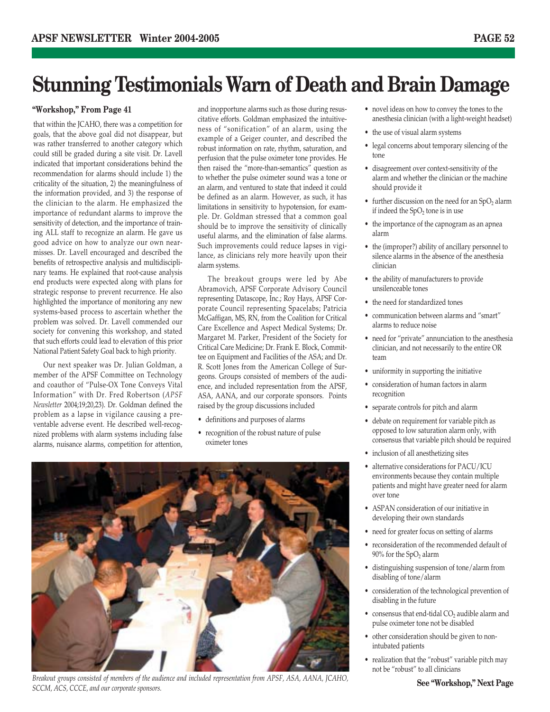### **Stunning Testimonials Warn of Death and Brain Damage**

### **"Workshop," From Page 41**

that within the JCAHO, there was a competition for goals, that the above goal did not disappear, but was rather transferred to another category which could still be graded during a site visit. Dr. Lavell indicated that important considerations behind the recommendation for alarms should include 1) the criticality of the situation, 2) the meaningfulness of the information provided, and 3) the response of the clinician to the alarm. He emphasized the importance of redundant alarms to improve the sensitivity of detection, and the importance of training ALL staff to recognize an alarm. He gave us good advice on how to analyze our own nearmisses. Dr. Lavell encouraged and described the benefits of retrospective analysis and multidisciplinary teams. He explained that root-cause analysis end products were expected along with plans for strategic response to prevent recurrence. He also highlighted the importance of monitoring any new systems-based process to ascertain whether the problem was solved. Dr. Lavell commended our society for convening this workshop, and stated that such efforts could lead to elevation of this prior National Patient Safety Goal back to high priority.

Our next speaker was Dr. Julian Goldman, a member of the APSF Committee on Technology and coauthor of "Pulse-OX Tone Conveys Vital Information" with Dr. Fred Robertson (*APSF Newsletter* 2004;19;20,23). Dr. Goldman defined the problem as a lapse in vigilance causing a preventable adverse event. He described well-recognized problems with alarm systems including false alarms, nuisance alarms, competition for attention, and inopportune alarms such as those during resuscitative efforts. Goldman emphasized the intuitiveness of "sonification" of an alarm, using the example of a Geiger counter, and described the robust information on rate, rhythm, saturation, and perfusion that the pulse oximeter tone provides. He then raised the "more-than-semantics" question as to whether the pulse oximeter sound was a tone or an alarm, and ventured to state that indeed it could be defined as an alarm. However, as such, it has limitations in sensitivity to hypotension, for example. Dr. Goldman stressed that a common goal should be to improve the sensitivity of clinically useful alarms, and the elimination of false alarms. Such improvements could reduce lapses in vigilance, as clinicians rely more heavily upon their alarm systems.

The breakout groups were led by Abe Abramovich, APSF Corporate Advisory Council representing Datascope, Inc.; Roy Hays, APSF Corporate Council representing Spacelabs; Patricia McGaffigan, MS, RN, from the Coalition for Critical Care Excellence and Aspect Medical Systems; Dr. Margaret M. Parker, President of the Society for Critical Care Medicine; Dr. Frank E. Block, Committee on Equipment and Facilities of the ASA; and Dr. R. Scott Jones from the American College of Surgeons. Groups consisted of members of the audience, and included representation from the APSF, ASA, AANA, and our corporate sponsors. Points raised by the group discussions included

- definitions and purposes of alarms
- recognition of the robust nature of pulse oximeter tones



*Breakout groups consisted of members of the audience and included representation from APSF, ASA, AANA, JCAHO, SCCM, ACS, CCCE, and our corporate sponsors.*

- novel ideas on how to convey the tones to the anesthesia clinician (with a light-weight headset)
- the use of visual alarm systems
- legal concerns about temporary silencing of the tone
- disagreement over context-sensitivity of the alarm and whether the clinician or the machine should provide it
- further discussion on the need for an  $SpO<sub>2</sub>$  alarm if indeed the  $SpO<sub>2</sub>$  tone is in use
- the importance of the capnogram as an apnea alarm
- the (improper?) ability of ancillary personnel to silence alarms in the absence of the anesthesia clinician
- the ability of manufacturers to provide unsilenceable tones
- the need for standardized tones
- communication between alarms and "smart" alarms to reduce noise
- need for "private" annunciation to the anesthesia clinician, and not necessarily to the entire OR team
- uniformity in supporting the initiative
- consideration of human factors in alarm recognition
- separate controls for pitch and alarm
- debate on requirement for variable pitch as opposed to low saturation alarm only, with consensus that variable pitch should be required
- inclusion of all anesthetizing sites
- alternative considerations for PACU/ICU environments because they contain multiple patients and might have greater need for alarm over tone
- ASPAN consideration of our initiative in developing their own standards
- need for greater focus on setting of alarms
- reconsideration of the recommended default of  $90\%$  for the SpO<sub>2</sub> alarm
- distinguishing suspension of tone/alarm from disabling of tone/alarm
- consideration of the technological prevention of disabling in the future
- consensus that end-tidal  $CO<sub>2</sub>$  audible alarm and pulse oximeter tone not be disabled
- other consideration should be given to nonintubated patients
- realization that the "robust" variable pitch may not be "robust" to all clinicians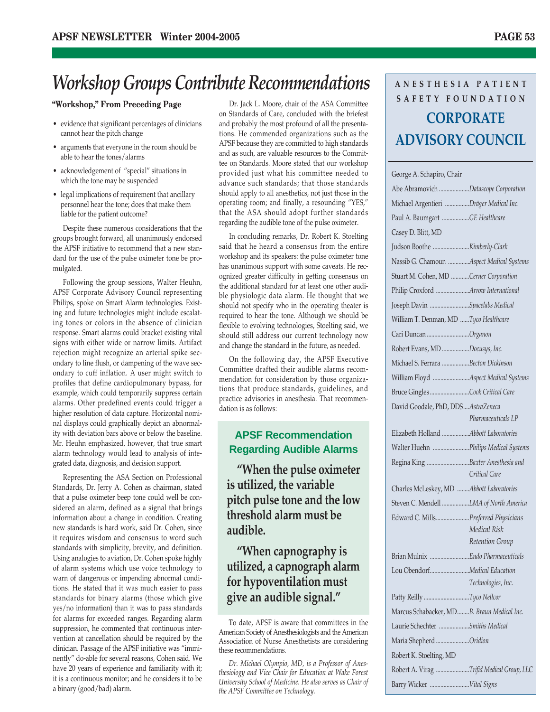### *Workshop Groups Contribute Recommendations*

### **"Workshop," From Preceding Page**

- evidence that significant percentages of clinicians cannot hear the pitch change
- arguments that everyone in the room should be able to hear the tones/alarms
- acknowledgement of "special" situations in which the tone may be suspended
- legal implications of requirement that ancillary personnel hear the tone; does that make them liable for the patient outcome?

Despite these numerous considerations that the groups brought forward, all unanimously endorsed the APSF initiative to recommend that a new standard for the use of the pulse oximeter tone be promulgated.

Following the group sessions, Walter Heuhn, APSF Corporate Advisory Council representing Philips, spoke on Smart Alarm technologies. Existing and future technologies might include escalating tones or colors in the absence of clinician response. Smart alarms could bracket existing vital signs with either wide or narrow limits. Artifact rejection might recognize an arterial spike secondary to line flush, or dampening of the wave secondary to cuff inflation. A user might switch to profiles that define cardiopulmonary bypass, for example, which could temporarily suppress certain alarms. Other predefined events could trigger a higher resolution of data capture. Horizontal nominal displays could graphically depict an abnormality with deviation bars above or below the baseline. Mr. Heuhn emphasized, however, that true smart alarm technology would lead to analysis of integrated data, diagnosis, and decision support.

Representing the ASA Section on Professional Standards, Dr. Jerry A. Cohen as chairman, stated that a pulse oximeter beep tone could well be considered an alarm, defined as a signal that brings information about a change in condition. Creating new standards is hard work, said Dr. Cohen, since it requires wisdom and consensus to word such standards with simplicity, brevity, and definition. Using analogies to aviation, Dr. Cohen spoke highly of alarm systems which use voice technology to warn of dangerous or impending abnormal conditions. He stated that it was much easier to pass standards for binary alarms (those which give yes/no information) than it was to pass standards for alarms for exceeded ranges. Regarding alarm suppression, he commented that continuous intervention at cancellation should be required by the clinician. Passage of the APSF initiative was "imminently" do-able for several reasons, Cohen said. We have 20 years of experience and familiarity with it; it is a continuous monitor; and he considers it to be a binary (good/bad) alarm.

Dr. Jack L. Moore, chair of the ASA Committee on Standards of Care, concluded with the briefest and probably the most profound of all the presentations. He commended organizations such as the APSF because they are committed to high standards and as such, are valuable resources to the Committee on Standards. Moore stated that our workshop provided just what his committee needed to advance such standards; that those standards should apply to all anesthetics, not just those in the operating room; and finally, a resounding "YES," that the ASA should adopt further standards regarding the audible tone of the pulse oximeter.

In concluding remarks, Dr. Robert K. Stoelting said that he heard a consensus from the entire workshop and its speakers: the pulse oximeter tone has unanimous support with some caveats. He recognized greater difficulty in getting consensus on the additional standard for at least one other audible physiologic data alarm. He thought that we should not specify who in the operating theater is required to hear the tone. Although we should be flexible to evolving technologies, Stoelting said, we should still address our current technology now and change the standard in the future, as needed.

On the following day, the APSF Executive Committee drafted their audible alarms recommendation for consideration by those organizations that produce standards, guidelines, and practice advisories in anesthesia. That recommendation is as follows:

### **APSF Recommendation Regarding Audible Alarms**

**"When the pulse oximeter is utilized, the variable pitch pulse tone and the low threshold alarm must be audible.**

**"When capnography is utilized, a capnograph alarm for hypoventilation must give an audible signal."**

### **ANESTHESIA PATIENT SAFETY FOUNDATION CORPORATE ADVISORY COUNCIL**

| Abe Abramovich Datascope Corporation<br>Michael Argentieri Dräger Medical Inc.<br>Paul A. Baumgart GE Healthcare<br>Casey D. Blitt, MD<br>Nassib G. Chamoun Aspect Medical Systems<br>Stuart M. Cohen, MD Cerner Corporation<br>Philip Croxford Arrow International<br>Joseph Davin Spacelabs Medical<br>William T. Denman, MD Tyco Healthcare<br>Cari Duncan Organon<br>Robert Evans, MD Docusys, Inc.<br>Michael S. Ferrara Becton Dickinson<br>William Floyd Aspect Medical Systems<br>Bruce Gingles Cook Critical Care<br>David Goodale, PhD, DDSAstraZeneca<br>Pharmaceuticals LP<br>Elizabeth Holland Abbott Laboratories<br>Walter Huehn Philips Medical Systems<br>Regina King Baxter Anesthesia and<br>Critical Care<br>Charles McLeskey, MD Abbott Laboratories<br>Steven C. Mendell LMA of North America<br>Edward C. MillsPreferred Physicians<br><b>Medical Risk</b><br>Retention Group<br>Lou ObendorfMedical Education<br>Technologies, Inc.<br>Patty Reilly Tyco Nellcor<br>Marcus Schabacker, MDB. Braun Medical Inc.<br>Laurie Schechter Smiths Medical<br>Maria Shepherd Oridion<br>Robert K. Stoelting, MD<br>Robert A. Virag Trifid Medical Group, LLC<br>Barry Wicker Vital Signs | George A. Schapiro, Chair |  |
|---------------------------------------------------------------------------------------------------------------------------------------------------------------------------------------------------------------------------------------------------------------------------------------------------------------------------------------------------------------------------------------------------------------------------------------------------------------------------------------------------------------------------------------------------------------------------------------------------------------------------------------------------------------------------------------------------------------------------------------------------------------------------------------------------------------------------------------------------------------------------------------------------------------------------------------------------------------------------------------------------------------------------------------------------------------------------------------------------------------------------------------------------------------------------------------------------------|---------------------------|--|
|                                                                                                                                                                                                                                                                                                                                                                                                                                                                                                                                                                                                                                                                                                                                                                                                                                                                                                                                                                                                                                                                                                                                                                                                         |                           |  |
|                                                                                                                                                                                                                                                                                                                                                                                                                                                                                                                                                                                                                                                                                                                                                                                                                                                                                                                                                                                                                                                                                                                                                                                                         |                           |  |
|                                                                                                                                                                                                                                                                                                                                                                                                                                                                                                                                                                                                                                                                                                                                                                                                                                                                                                                                                                                                                                                                                                                                                                                                         |                           |  |
|                                                                                                                                                                                                                                                                                                                                                                                                                                                                                                                                                                                                                                                                                                                                                                                                                                                                                                                                                                                                                                                                                                                                                                                                         |                           |  |
|                                                                                                                                                                                                                                                                                                                                                                                                                                                                                                                                                                                                                                                                                                                                                                                                                                                                                                                                                                                                                                                                                                                                                                                                         |                           |  |
|                                                                                                                                                                                                                                                                                                                                                                                                                                                                                                                                                                                                                                                                                                                                                                                                                                                                                                                                                                                                                                                                                                                                                                                                         |                           |  |
|                                                                                                                                                                                                                                                                                                                                                                                                                                                                                                                                                                                                                                                                                                                                                                                                                                                                                                                                                                                                                                                                                                                                                                                                         |                           |  |
|                                                                                                                                                                                                                                                                                                                                                                                                                                                                                                                                                                                                                                                                                                                                                                                                                                                                                                                                                                                                                                                                                                                                                                                                         |                           |  |
|                                                                                                                                                                                                                                                                                                                                                                                                                                                                                                                                                                                                                                                                                                                                                                                                                                                                                                                                                                                                                                                                                                                                                                                                         |                           |  |
|                                                                                                                                                                                                                                                                                                                                                                                                                                                                                                                                                                                                                                                                                                                                                                                                                                                                                                                                                                                                                                                                                                                                                                                                         |                           |  |
|                                                                                                                                                                                                                                                                                                                                                                                                                                                                                                                                                                                                                                                                                                                                                                                                                                                                                                                                                                                                                                                                                                                                                                                                         |                           |  |
|                                                                                                                                                                                                                                                                                                                                                                                                                                                                                                                                                                                                                                                                                                                                                                                                                                                                                                                                                                                                                                                                                                                                                                                                         |                           |  |
|                                                                                                                                                                                                                                                                                                                                                                                                                                                                                                                                                                                                                                                                                                                                                                                                                                                                                                                                                                                                                                                                                                                                                                                                         |                           |  |
|                                                                                                                                                                                                                                                                                                                                                                                                                                                                                                                                                                                                                                                                                                                                                                                                                                                                                                                                                                                                                                                                                                                                                                                                         |                           |  |
|                                                                                                                                                                                                                                                                                                                                                                                                                                                                                                                                                                                                                                                                                                                                                                                                                                                                                                                                                                                                                                                                                                                                                                                                         |                           |  |
|                                                                                                                                                                                                                                                                                                                                                                                                                                                                                                                                                                                                                                                                                                                                                                                                                                                                                                                                                                                                                                                                                                                                                                                                         |                           |  |
|                                                                                                                                                                                                                                                                                                                                                                                                                                                                                                                                                                                                                                                                                                                                                                                                                                                                                                                                                                                                                                                                                                                                                                                                         |                           |  |
|                                                                                                                                                                                                                                                                                                                                                                                                                                                                                                                                                                                                                                                                                                                                                                                                                                                                                                                                                                                                                                                                                                                                                                                                         |                           |  |
|                                                                                                                                                                                                                                                                                                                                                                                                                                                                                                                                                                                                                                                                                                                                                                                                                                                                                                                                                                                                                                                                                                                                                                                                         |                           |  |
|                                                                                                                                                                                                                                                                                                                                                                                                                                                                                                                                                                                                                                                                                                                                                                                                                                                                                                                                                                                                                                                                                                                                                                                                         |                           |  |
|                                                                                                                                                                                                                                                                                                                                                                                                                                                                                                                                                                                                                                                                                                                                                                                                                                                                                                                                                                                                                                                                                                                                                                                                         |                           |  |
|                                                                                                                                                                                                                                                                                                                                                                                                                                                                                                                                                                                                                                                                                                                                                                                                                                                                                                                                                                                                                                                                                                                                                                                                         |                           |  |
|                                                                                                                                                                                                                                                                                                                                                                                                                                                                                                                                                                                                                                                                                                                                                                                                                                                                                                                                                                                                                                                                                                                                                                                                         |                           |  |
|                                                                                                                                                                                                                                                                                                                                                                                                                                                                                                                                                                                                                                                                                                                                                                                                                                                                                                                                                                                                                                                                                                                                                                                                         |                           |  |
|                                                                                                                                                                                                                                                                                                                                                                                                                                                                                                                                                                                                                                                                                                                                                                                                                                                                                                                                                                                                                                                                                                                                                                                                         |                           |  |
|                                                                                                                                                                                                                                                                                                                                                                                                                                                                                                                                                                                                                                                                                                                                                                                                                                                                                                                                                                                                                                                                                                                                                                                                         |                           |  |
|                                                                                                                                                                                                                                                                                                                                                                                                                                                                                                                                                                                                                                                                                                                                                                                                                                                                                                                                                                                                                                                                                                                                                                                                         |                           |  |
|                                                                                                                                                                                                                                                                                                                                                                                                                                                                                                                                                                                                                                                                                                                                                                                                                                                                                                                                                                                                                                                                                                                                                                                                         |                           |  |
|                                                                                                                                                                                                                                                                                                                                                                                                                                                                                                                                                                                                                                                                                                                                                                                                                                                                                                                                                                                                                                                                                                                                                                                                         |                           |  |
|                                                                                                                                                                                                                                                                                                                                                                                                                                                                                                                                                                                                                                                                                                                                                                                                                                                                                                                                                                                                                                                                                                                                                                                                         |                           |  |
|                                                                                                                                                                                                                                                                                                                                                                                                                                                                                                                                                                                                                                                                                                                                                                                                                                                                                                                                                                                                                                                                                                                                                                                                         |                           |  |
|                                                                                                                                                                                                                                                                                                                                                                                                                                                                                                                                                                                                                                                                                                                                                                                                                                                                                                                                                                                                                                                                                                                                                                                                         |                           |  |
|                                                                                                                                                                                                                                                                                                                                                                                                                                                                                                                                                                                                                                                                                                                                                                                                                                                                                                                                                                                                                                                                                                                                                                                                         |                           |  |
|                                                                                                                                                                                                                                                                                                                                                                                                                                                                                                                                                                                                                                                                                                                                                                                                                                                                                                                                                                                                                                                                                                                                                                                                         |                           |  |
|                                                                                                                                                                                                                                                                                                                                                                                                                                                                                                                                                                                                                                                                                                                                                                                                                                                                                                                                                                                                                                                                                                                                                                                                         |                           |  |

To date, APSF is aware that committees in the American Society of Anesthesiologists and the American Association of Nurse Anesthetists are considering these recommendations.

*Dr. Michael Olympio, MD, is a Professor of Anesthesiology and Vice Chair for Education at Wake Forest University School of Medicine. He also serves as Chair of the APSF Committee on Technology.*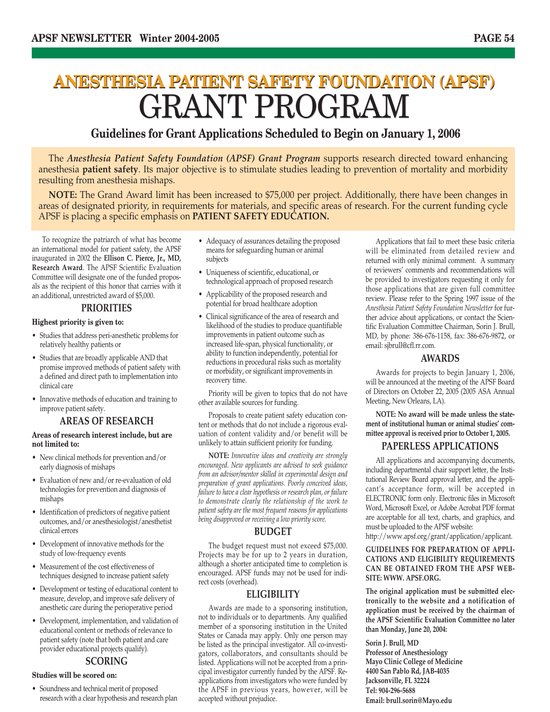## **ANESTHESIA PATIENT SAFETY FOUNDATION (APSF) ANESTHESIA PATIENT SAFETY FOUNDATION (APSF)** GRANT PROGRAM GRANT PROGRAM

### **Guidelines for Grant Applications Scheduled to Begin on January 1, 2006**

The *Anesthesia Patient Safety Foundation (APSF) Grant Program* supports research directed toward enhancing anesthesia **patient safety**. Its major objective is to stimulate studies leading to prevention of mortality and morbidity resulting from anesthesia mishaps.

**NOTE:** The Grand Award limit has been increased to \$75,000 per project. Additionally, there have been changes in areas of designated priority, in requirements for materials, and specific areas of research. For the current funding cycle APSF is placing a specific emphasis on **PATIENT SAFETY EDUCATION.**

To recognize the patriarch of what has become an international model for patient safety, the APSF inaugurated in 2002 the **Ellison C. Pierce, Jr., MD, Research Award**. The APSF Scientific Evaluation Committee will designate one of the funded proposals as the recipient of this honor that carries with it an additional, unrestricted award of \$5,000.

### **PRIORITIES**

### **Highest priority is given to:**

- Studies that address peri-anesthetic problems for relatively healthy patients or
- Studies that are broadly applicable AND that promise improved methods of patient safety with a defined and direct path to implementation into clinical care
- Innovative methods of education and training to improve patient safety.

### **AREAS OF RESEARCH**

#### **Areas of research interest include, but are not limited to:**

- New clinical methods for prevention and/or early diagnosis of mishaps
- Evaluation of new and/or re-evaluation of old technologies for prevention and diagnosis of mishaps
- Identification of predictors of negative patient outcomes, and/or anesthesiologist/anesthetist clinical errors
- Development of innovative methods for the study of low-frequency events
- Measurement of the cost effectiveness of techniques designed to increase patient safety
- Development or testing of educational content to measure, develop, and improve safe delivery of anesthetic care during the perioperative period
- Development, implementation, and validation of educational content or methods of relevance to patient safety (note that both patient and care provider educational projects qualify).

### **SCORING**

### **Studies will be scored on:**

• Soundness and technical merit of proposed research with a clear hypothesis and research plan

- Adequacy of assurances detailing the proposed means for safeguarding human or animal subjects
- Uniqueness of scientific, educational, or technological approach of proposed research
- Applicability of the proposed research and potential for broad healthcare adoption
- Clinical significance of the area of research and likelihood of the studies to produce quantifiable improvements in patient outcome such as increased life-span, physical functionality, or ability to function independently, potential for reductions in procedural risks such as mortality or morbidity, or significant improvements in recovery time.

Priority will be given to topics that do not have other available sources for funding.

Proposals to create patient safety education content or methods that do not include a rigorous evaluation of content validity and/or benefit will be unlikely to attain sufficient priority for funding.

**NOTE:** *Innovative ideas and creativity are strongly encouraged. New applicants are advised to seek guidance from an advisor/mentor skilled in experimental design and preparation of grant applications. Poorly conceived ideas, failure to have a clear hypothesis or research plan, or failure to demonstrate clearly the relationship of the work to patient safety are the most frequent reasons for applications being disapproved or receiving a low priority score.* 

### **BUDGET**

The budget request must not exceed \$75,000. Projects may be for up to 2 years in duration, although a shorter anticipated time to completion is encouraged. APSF funds may not be used for indirect costs (overhead).

### **ELIGIBILITY**

Awards are made to a sponsoring institution, not to individuals or to departments. Any qualified member of a sponsoring institution in the United States or Canada may apply. Only one person may be listed as the principal investigator. All co-investigators, collaborators, and consultants should be listed. Applications will not be accepted from a principal investigator currently funded by the APSF. Reapplications from investigators who were funded by the APSF in previous years, however, will be accepted without prejudice.

Applications that fail to meet these basic criteria will be eliminated from detailed review and returned with only minimal comment. A summary of reviewers' comments and recommendations will be provided to investigators requesting it only for those applications that are given full committee review. Please refer to the Spring 1997 issue of the *Anesthesia Patient Safety Foundation Newsletter* for further advice about applications, or contact the Scientific Evaluation Committee Chairman, Sorin J. Brull, MD, by phone: 386-676-1158, fax: 386-676-9872, or email: sjbrull@cfl.rr.com.

### **AWARDS**

Awards for projects to begin January 1, 2006, will be announced at the meeting of the APSF Board of Directors on October 22, 2005 (2005 ASA Annual Meeting, New Orleans, LA).

**NOTE: No award will be made unless the statement of institutional human or animal studies' committee approval is received prior to October 1, 2005.**

### **PAPERLESS APPLICATIONS**

All applications and accompanying documents, including departmental chair support letter, the Institutional Review Board approval letter, and the applicant's acceptance form, will be accepted in ELECTRONIC form only. Electronic files in Microsoft Word, Microsoft Excel, or Adobe Acrobat PDF format are acceptable for all text, charts, and graphics, and must be uploaded to the APSF website:

http://www.apsf.org/grant/application/applicant.

### **GUIDELINES FOR PREPARATION OF APPLI-CATIONS AND ELIGIBILITY REQUIREMENTS CAN BE OBTAINED FROM THE APSF WEB-SITE: WWW. APSF.ORG.**

**The original application must be submitted electronically to the website and a notification of application must be received by the chairman of the APSF Scientific Evaluation Committee no later than Monday, June 20, 2004:**

**Sorin J. Brull, MD Professor of Anesthesiology Mayo Clinic College of Medicine 4400 San Pablo Rd, JAB-4035 Jacksonville, FL 32224 Tel: 904-296-5688 Email: brull.sorin@Mayo.edu**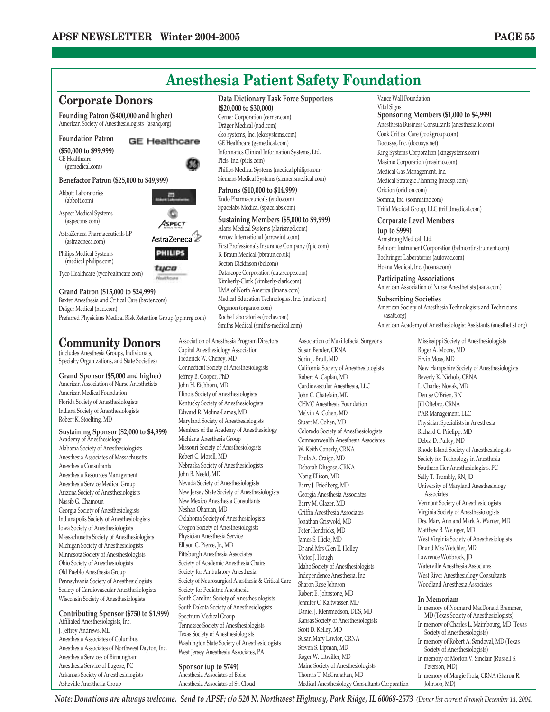

American Medical Foundation Florida Society of Anesthesiologists Indiana Society of Anesthesiologists Robert K. Stoelting, MD

### **Sustaining Sponsor (\$2,000 to \$4,999)**

Academy of Anesthesiology Alabama Society of Anesthesiologists Anesthesia Associates of Massachusetts Anesthesia Consultants Anesthesia Resources Management Anesthesia Service Medical Group Arizona Society of Anesthesiologists Nassib G. Chamoun Georgia Society of Anesthesiologists Indianapolis Society of Anesthesiologists Iowa Society of Anesthesiologists Massachusetts Society of Anesthesiologists Michigan Society of Anesthesiologists Minnesota Society of Anesthesiologists Ohio Society of Anesthesiologists Old Pueblo Anesthesia Group Pennsylvania Society of Anesthesiologists Society of Cardiovascular Anesthesiologists Wisconsin Society of Anesthesiologists

#### **Contributing Sponsor (\$750 to \$1,999)** Affiliated Anesthesiologists, Inc.

J. Jeffrey Andrews, MD Anesthesia Associates of Columbus Anesthesia Associates of Northwest Dayton, Inc. Anesthesia Services of Birmingham Anesthesia Service of Eugene, PC Arkansas Society of Anesthesiologists Asheville Anesthesia Group

Illinois Society of Anesthesiologists Kentucky Society of Anesthesiologists Edward R. Molina-Lamas, MD Maryland Society of Anesthesiologists Members of the Academy of Anesthesiology Michiana Anesthesia Group Missouri Society of Anesthesiologists Robert C. Morell, MD Nebraska Society of Anesthesiologists John B. Neeld, MD Nevada Society of Anesthesiologists New Jersey State Society of Anesthesiologists New Mexico Anesthesia Consultants Neshan Ohanian, MD Oklahoma Society of Anesthesiologists Oregon Society of Anesthesiologists Physician Anesthesia Service Ellison C. Pierce, Jr., MD Pittsburgh Anesthesia Associates Society of Academic Anesthesia Chairs Society for Ambulatory Anesthesia Society of Neurosurgical Anesthesia & Critical Care Society for Pediatric Anesthesia South Carolina Society of Anesthesiologists South Dakota Society of Anesthesiologists Spectrum Medical Group Tennessee Society of Anesthesiologists Texas Society of Anesthesiologists Washington State Society of Anesthesiologists West Jersey Anesthesia Associates, PA

**Sponsor (up to \$749)** Anesthesia Associates of Boise Anesthesia Associates of St. Cloud

John C. Chatelain, MD CHMC Anesthesia Foundation Melvin A. Cohen, MD Stuart M. Cohen, MD Colorado Society of Anesthesiologists Commonwealth Anesthesia Associates W. Keith Conerly, CRNA Paula A. Craigo, MD Deborah Dlugose, CRNA Norig Ellison, MD Barry J. Friedberg, MD Georgia Anesthesia Associates Barry M. Glazer, MD Griffin Anesthesia Associates Jonathan Griswold, MD Peter Hendricks, MD James S. Hicks, MD Dr and Mrs Glen E. Holley Victor J. Hough Idaho Society of Anesthesiologists Independence Anesthesia, Inc Sharon Rose Johnson Robert E. Johnstone, MD Jennifer C. Kaltwasser, MD Daniel J. Klemmedson, DDS, MD Kansas Society of Anesthesiologists Scott D. Kelley, MD Susan Mary Lawlor, CRNA Steven S. Lipman, MD Roger W. Litwiller, MD Maine Society of Anesthesiologists Thomas T. McGranahan, MD Medical Anesthesiology Consultants Corporation

New Hampshire Society of Anesthesiologists Denise O'Brien, RN Jill Oftebro, CRNA PAR Management, LLC Physician Specialists in Anesthesia Richard C. Prielipp, MD Debra D. Pulley, MD Rhode Island Society of Anesthesiologists Society for Technology in Anesthesia Southern Tier Anesthesiologists, PC Sally T. Trombly, RN, JD University of Maryland Anesthesiology Associates Vermont Society of Anesthesiologists Virginia Society of Anesthesiologists Drs. Mary Ann and Mark A. Warner, MD Matthew B. Weinger, MD West Virginia Society of Anesthesiologists Dr and Mrs Wetchler, MD Lawrence Wobbrock, JD Waterville Anesthesia Associates West River Anesthesiology Consultants Woodland Anesthesia Associates **In Memoriam**

- In memory of Normand MacDonald Bremmer, MD (Texas Society of Anesthesiologists)
- In memory of Charles L. Maimbourg, MD (Texas Society of Anesthesiologists)
- In memory of Robert A. Sandoval, MD (Texas Society of Anesthesiologists)
- In memory of Morton V. Sinclair (Russell S. Peterson, MD)
- In memory of Margie Frola, CRNA (Sharon R. Johnson, MD)

*Note: Donations are always welcome. Send to APSF; c/o 520 N. Northwest Highway, Park Ridge, IL 60068-2573 (Donor list current through December 14, 2004)*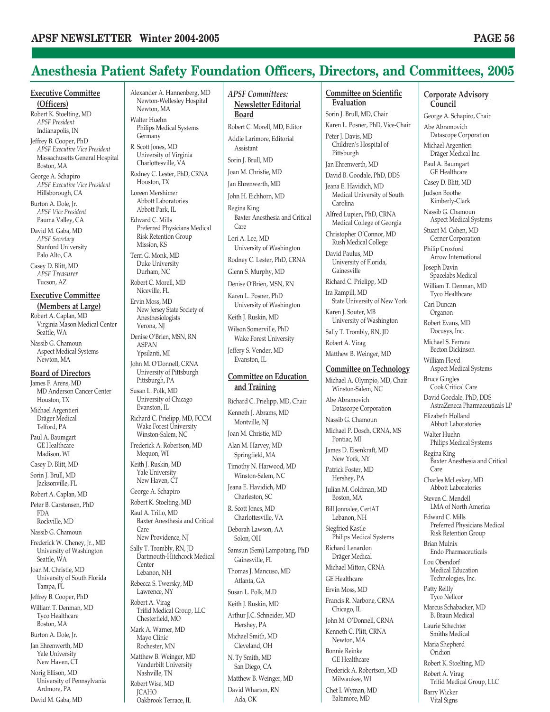### **Anesthesia Patient Safety Foundation Officers, Directors, and Committees, 2005**

### **Executive Committee (Officers)**

Robert K. Stoelting, MD *APSF President* Indianapolis, IN

Jeffrey B. Cooper, PhD *APSF Executive Vice President* Massachusetts General Hospital Boston, MA

George A. Schapiro *APSF Executive Vice President* Hillsborough, CA

Burton A. Dole, Jr. *APSF Vice President* Pauma Valley, CA

David M. Gaba, MD *APSF Secretary* Stanford University Palo Alto, CA

Casey D. Blitt, MD *APSF Treasurer* Tucson, AZ

### **Executive Committee (Members at Large)**

Robert A. Caplan, MD Virginia Mason Medical Center Seattle, WA Nassib G. Chamoun

Aspect Medical Systems Newton, MA

### **Board of Directors**

James F. Arens, MD MD Anderson Cancer Center Houston, TX Michael Argentieri

Dräger Medical Telford, PA Paul A. Baumgart

GE Healthcare Madison, WI

Casey D. Blitt, MD

Sorin J. Brull, MD Jacksonville, FL

Robert A. Caplan, MD

Peter B. Carstensen, PhD FDA Rockville, MD

Nassib G. Chamoun Frederick W. Cheney, Jr., MD University of Washington Seattle, WA

Joan M. Christie, MD University of South Florida Tampa, FL

Jeffrey B. Cooper, PhD William T. Denman, MD Tyco Healthcare

Boston, MA Burton A. Dole, Jr. Jan Ehrenwerth, MD

Yale University New Haven, CT

Norig Ellison, MD University of Pennsylvania Ardmore, PA David M. Gaba, MD

Alexander A. Hannenberg, MD Newton-Wellesley Hospital Newton, MA Walter Huehn

Philips Medical Systems Germany R. Scott Jones, MD

University of Virginia Charlottesville, VA

Rodney C. Lester, PhD, CRNA Houston, TX Loreen Mershimer Abbott Laboratories

Abbott Park, IL Edward C. Mills Preferred Physicians Medical Risk Retention Group

Mission, KS Terri G. Monk, MD Duke University

Durham, NC Robert C. Morell, MD Niceville, FL

Ervin Moss, MD New Jersey State Society of Anesthesiologists Verona, NJ

Denise O'Brien, MSN, RN ASPAN Ypsilanti, MI

John M. O'Donnell, CRNA University of Pittsburgh Pittsburgh, PA

Susan L. Polk, MD University of Chicago Evanston, IL

Richard C. Prielipp, MD, FCCM Wake Forest University Winston-Salem, NC

Frederick A. Robertson, MD Mequon, WI Keith J. Ruskin, MD

Yale University New Haven, CT

George A. Schapiro

Robert K. Stoelting, MD Raul A. Trillo, MD Baxter Anesthesia and Critical Care

New Providence, NJ Sally T. Trombly, RN, JD Dartmouth-Hitchcock Medical Center Lebanon, NH

Rebecca S. Twersky, MD Lawrence, NY

Robert A. Virag Trifid Medical Group, LLC Chesterfield, MO

Mark A. Warner, MD Mayo Clinic Rochester, MN Matthew B. Weinger, MD Vanderbilt University Nashville, TN Robert Wise, MD

JCAHO Oakbrook Terrace, IL *APSF Committees:* **Newsletter Editorial Board**

Robert C. Morell, MD, Editor Addie Larimore, Editorial

Assistant Sorin J. Brull, MD

Joan M. Christie, MD

Jan Ehrenwerth, MD

John H. Eichhorn, MD

Regina King Baxter Anesthesia and Critical Care

Lori A. Lee, MD University of Washington

Rodney C. Lester, PhD, CRNA

Glenn S. Murphy, MD

Denise O'Brien, MSN, RN

Karen L. Posner, PhD University of Washington

Keith J. Ruskin, MD

Wilson Somerville, PhD Wake Forest University

Jeffery S. Vender, MD Evanston, IL

### **Committee on Education and Training**

Richard C. Prielipp, MD, Chair Kenneth J. Abrams, MD Montville, NJ Joan M. Christie, MD Alan M. Harvey, MD Springfield, MA Timothy N. Harwood, MD Winston-Salem, NC Jeana E. Havidich, MD Charleston, SC R. Scott Jones, MD Charlottesville, VA Deborah Lawson, AA Solon, OH Samsun (Sem) Lampotang, PhD Gainesville, FL Thomas J. Mancuso, MD Atlanta, GA Susan L. Polk, M.D Keith J. Ruskin, MD Arthur J.C. Schneider, MD Hershey, PA Michael Smith, MD Cleveland, OH N. Ty Smith, MD San Diego, CA Matthew B. Weinger, MD David Wharton, RN Ada, OK

#### **Committee on Scientific Evaluation**

Sorin J. Brull, MD, Chair Karen L. Posner, PhD, Vice-Chair Peter J. Davis, MD Children's Hospital of

Pittsburgh

Jan Ehrenwerth, MD David B. Goodale, PhD, DDS

Jeana E. Havidich, MD Medical University of South Carolina

Alfred Lupien, PhD, CRNA Medical College of Georgia

Christopher O'Connor, MD Rush Medical College

David Paulus, MD University of Florida, Gainesville

Richard C. Prielipp, MD

Ira Rampill, MD State University of New York

Karen J. Souter, MB University of Washington

Sally T. Trombly, RN, JD

Robert A. Virag

Matthew B. Weinger, MD

### **Committee on Technology**

Michael A. Olympio, MD, Chair Winston-Salem, NC Abe Abramovich Datascope Corporation Nassib G. Chamoun Michael P. Dosch, CRNA, MS Pontiac, MI James D. Eisenkraft, MD New York, NY Patrick Foster, MD Hershey, PA Julian M. Goldman, MD Boston, MA Bill Jonnalee, CertAT Lebanon, NH Siegfried Kastle Philips Medical Systems Richard Lenardon Dräger Medical Michael Mitton, CRNA GE Healthcare Ervin Moss, MD Francis R. Narbone, CRNA Chicago, IL John M. O'Donnell, CRNA Kenneth C. Plitt, CRNA Newton, MA Bonnie Reinke GE Healthcare Frederick A. Robertson, MD Milwaukee, WI

Chet I. Wyman, MD Baltimore, MD

### **Corporate Advisory Council**

George A. Schapiro, Chair Abe Abramovich Datascope Corporation Michael Argentieri Dräger Medical Inc. Paul A. Baumgart GE Healthcare Casey D. Blitt, MD Judson Boothe Kimberly-Clark Nassib G. Chamoun Aspect Medical Systems Stuart M. Cohen, MD Cerner Corporation Philip Croxford Arrow International Joseph Davin Spacelabs Medical William T. Denman, MD Tyco Healthcare Cari Duncan Organon Robert Evans, MD Docusys, Inc. Michael S. Ferrara Becton Dickinson William Floyd Aspect Medical Systems Bruce Gingles Cook Critical Care David Goodale, PhD, DDS AstraZeneca Pharmaceuticals LP Elizabeth Holland Abbott Laboratories Walter Huehn Philips Medical Systems Regina King Baxter Anesthesia and Critical Care Charles McLeskey, MD Abbott Laboratories Steven C. Mendell LMA of North America Edward C. Mills Preferred Physicians Medical Risk Retention Group Brian Mulnix Endo Pharmaceuticals Lou Obendorf Medical Education Technologies, Inc. Patty Reilly Tyco Nellcor Marcus Schabacker, MD B. Braun Medical Laurie Schechter Smiths Medical Maria Shepherd **Oridion** Robert K. Stoelting, MD Robert A. Virag Trifid Medical Group, LLC Barry Wicker

Vital Signs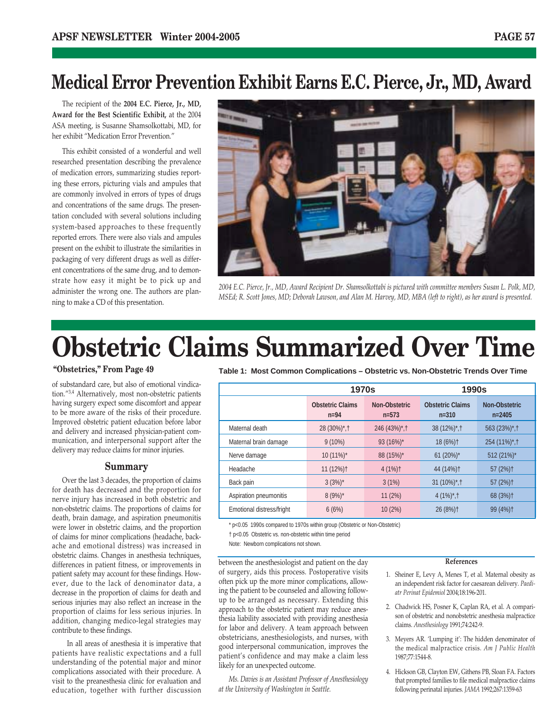### **Medical Error Prevention Exhibit Earns E.C. Pierce, Jr., MD, Award**

The recipient of the **2004 E.C. Pierce, Jr., MD, Award for the Best Scientific Exhibit,** at the 2004 ASA meeting, is Susanne Shamsolkottabi, MD, for her exhibit "Medication Error Prevention."

This exhibit consisted of a wonderful and well researched presentation describing the prevalence of medication errors, summarizing studies reporting these errors, picturing vials and ampules that are commonly involved in errors of types of drugs and concentrations of the same drugs. The presentation concluded with several solutions including system-based approaches to these frequently reported errors. There were also vials and ampules present on the exhibit to illustrate the similarities in packaging of very different drugs as well as different concentrations of the same drug, and to demonstrate how easy it might be to pick up and administer the wrong one. The authors are planning to make a CD of this presentation.



*2004 E.C. Pierce, Jr., MD, Award Recipient Dr. Shamsolkottabi is pictured with committee members Susan L. Polk, MD, MSEd; R. Scott Jones, MD; Deborah Lawson, and Alan M. Harvey, MD, MBA (left to right), as her award is presented.*

# **Obstetric Claims Summarized Over Time**

### **"Obstetrics," From Page 49**

of substandard care, but also of emotional vindication."3,4 Alternatively, most non-obstetric patients having surgery expect some discomfort and appear to be more aware of the risks of their procedure. Improved obstetric patient education before labor and delivery and increased physician-patient communication, and interpersonal support after the delivery may reduce claims for minor injuries.

### **Summary**

Over the last 3 decades, the proportion of claims for death has decreased and the proportion for nerve injury has increased in both obstetric and non-obstetric claims. The proportions of claims for death, brain damage, and aspiration pneumonitis were lower in obstetric claims, and the proportion of claims for minor complications (headache, backache and emotional distress) was increased in obstetric claims. Changes in anesthesia techniques, differences in patient fitness, or improvements in patient safety may account for these findings. However, due to the lack of denominator data, a decrease in the proportion of claims for death and serious injuries may also reflect an increase in the proportion of claims for less serious injuries. In addition, changing medico-legal strategies may contribute to these findings.

In all areas of anesthesia it is imperative that patients have realistic expectations and a full understanding of the potential major and minor complications associated with their procedure. A visit to the preanesthesia clinic for evaluation and education, together with further discussion **Table 1: Most Common Complications – Obstetric vs. Non-Obstetric Trends Over Time**

|                           | <b>1970s</b>                      |                          | <b>1990s</b>                         |                                    |
|---------------------------|-----------------------------------|--------------------------|--------------------------------------|------------------------------------|
|                           | <b>Obstetric Claims</b><br>$n=94$ | Non-Obstetric<br>$n=573$ | <b>Obstetric Claims</b><br>$n = 310$ | <b>Non-Obstetric</b><br>$n = 2405$ |
| Maternal death            | 28 (30%)*, †                      | $246 (43\%)^*$ , †       | $38(12\%)^*$ , †                     | 563 (23%)*, †                      |
| Maternal brain damage     | $9(10\%)$                         | 93 (16%)*                | 18 (6%) <sup>+</sup>                 | 254 (11%)*, †                      |
| Nerve damage              | 10 (11%)*                         | 88 (15%)*                | 61 (20%)*                            | 512 (21%)*                         |
| Headache                  | 11 (12%) <sup>+</sup>             | $4(1%)$ †                | 44 (14%) <sup>†</sup>                | 57 (2%) <sup>+</sup>               |
| Back pain                 | $3(3%)^*$                         | 3(1%)                    | $31 (10\%)^*$ . †                    | 57 (2%) <sup>+</sup>               |
| Aspiration pneumonitis    | $8(9%)^*$                         | 11(2%)                   | $4(1\%)^*$ , †                       | 68 (3%) <sup>+</sup>               |
| Emotional distress/fright | 6(6%)                             | 10(2%)                   | 26 (8%) <sup>+</sup>                 | $99(4%)$ †                         |

\* p<0.05 1990s compared to 1970s within group (Obstetric or Non-Obstetric)

† p<0.05 Obstetric vs. non-obstetric within time period

Note: Newborn complications not shown.

between the anesthesiologist and patient on the day of surgery, aids this process. Postoperative visits often pick up the more minor complications, allowing the patient to be counseled and allowing followup to be arranged as necessary. Extending this approach to the obstetric patient may reduce anesthesia liability associated with providing anesthesia for labor and delivery. A team approach between obstetricians, anesthesiologists, and nurses, with good interpersonal communication, improves the patient's confidence and may make a claim less likely for an unexpected outcome.

*Ms. Davies is an Assistant Professor of Anesthesiology at the University of Washington in Seattle.*

#### **References**

- 1. Sheiner E, Levy A, Menes T, et al. Maternal obesity as an independent risk factor for caesarean delivery. *Paediatr Perinat Epidemiol* 2004;18:196-201.
- 2. Chadwick HS, Posner K, Caplan RA, et al. A comparison of obstetric and nonobstetric anesthesia malpractice claims. *Anesthesiology* 1991;74:242-9.
- 3. Meyers AR. 'Lumping it': The hidden denominator of the medical malpractice crisis. *Am J Public Health* 1987;77:1544-8.
- 4. Hickson GB, Clayton EW, Githens PB, Sloan FA. Factors that prompted families to file medical malpractice claims following perinatal injuries. *JAMA* 1992;267:1359-63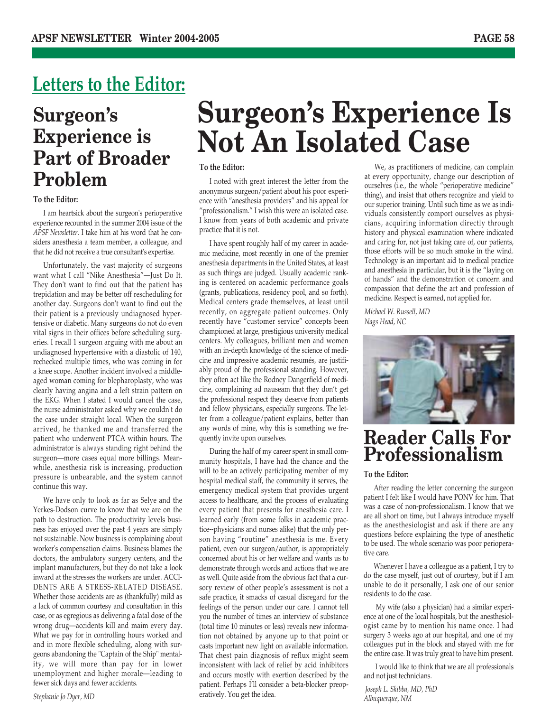### **Letters to the Editor:**

### **Surgeon's Experience is Part of Broader Problem**

### **To the Editor:**

I am heartsick about the surgeon's perioperative experience recounted in the summer 2004 issue of the *APSF Newsletter*. I take him at his word that he considers anesthesia a team member, a colleague, and that he did not receive a true consultant's expertise.

Unfortunately, the vast majority of surgeons want what I call "Nike Anesthesia"—Just Do It. They don't want to find out that the patient has trepidation and may be better off rescheduling for another day. Surgeons don't want to find out the their patient is a previously undiagnosed hypertensive or diabetic. Many surgeons do not do even vital signs in their offices before scheduling surgeries. I recall 1 surgeon arguing with me about an undiagnosed hypertensive with a diastolic of 140, rechecked multiple times, who was coming in for a knee scope. Another incident involved a middleaged woman coming for blepharoplasty, who was clearly having angina and a left strain pattern on the EKG. When I stated I would cancel the case, the nurse administrator asked why we couldn't do the case under straight local. When the surgeon arrived, he thanked me and transferred the patient who underwent PTCA within hours. The administrator is always standing right behind the surgeon—more cases equal more billings. Meanwhile, anesthesia risk is increasing, production pressure is unbearable, and the system cannot continue this way.

We have only to look as far as Selye and the Yerkes-Dodson curve to know that we are on the path to destruction. The productivity levels business has enjoyed over the past 4 years are simply not sustainable. Now business is complaining about worker's compensation claims. Business blames the doctors, the ambulatory surgery centers, and the implant manufacturers, but they do not take a look inward at the stresses the workers are under. ACCI-DENTS ARE A STRESS-RELATED DISEASE. Whether those accidents are as (thankfully) mild as a lack of common courtesy and consultation in this case, or as egregious as delivering a fatal dose of the wrong drug—accidents kill and maim every day. What we pay for in controlling hours worked and and in more flexible scheduling, along with surgeons abandoning the "Captain of the Ship" mentality, we will more than pay for in lower unemployment and higher morale—leading to fewer sick days and fewer accidents.

# **Surgeon's Experience Is Not An Isolated Case**

### **To the Editor:**

I noted with great interest the letter from the anonymous surgeon/patient about his poor experience with "anesthesia providers" and his appeal for "professionalism." I wish this were an isolated case. I know from years of both academic and private practice that it is not.

I have spent roughly half of my career in academic medicine, most recently in one of the premier anesthesia departments in the United States, at least as such things are judged. Usually academic ranking is centered on academic performance goals (grants, publications, residency pool, and so forth). Medical centers grade themselves, at least until recently, on aggregate patient outcomes. Only recently have "customer service" concepts been championed at large, prestigious university medical centers. My colleagues, brilliant men and women with an in-depth knowledge of the science of medicine and impressive academic resumés, are justifiably proud of the professional standing. However, they often act like the Rodney Dangerfield of medicine, complaining ad nauseam that they don't get the professional respect they deserve from patients and fellow physicians, especially surgeons. The letter from a colleague/patient explains, better than any words of mine, why this is something we frequently invite upon ourselves.

During the half of my career spent in small community hospitals, I have had the chance and the will to be an actively participating member of my hospital medical staff, the community it serves, the emergency medical system that provides urgent access to healthcare, and the process of evaluating every patient that presents for anesthesia care. I learned early (from some folks in academic practice--physicians and nurses alike) that the only person having "routine" anesthesia is me. Every patient, even our surgeon/author, is appropriately concerned about his or her welfare and wants us to demonstrate through words and actions that we are as well. Quite aside from the obvious fact that a cursory review of other people's assessment is not a safe practice, it smacks of casual disregard for the feelings of the person under our care. I cannot tell you the number of times an interview of substance (total time 10 minutes or less) reveals new information not obtained by anyone up to that point or casts important new light on available information. That chest pain diagnosis of reflux might seem inconsistent with lack of relief by acid inhibitors and occurs mostly with exertion described by the patient. Perhaps I'll consider a beta-blocker preoperatively. You get the idea.

We, as practitioners of medicine, can complain at every opportunity, change our description of ourselves (i.e., the whole "perioperative medicine" thing), and insist that others recognize and yield to our superior training. Until such time as we as individuals consistently comport ourselves as physicians, acquiring information directly through history and physical examination where indicated and caring for, not just taking care of, our patients, those efforts will be so much smoke in the wind. Technology is an important aid to medical practice and anesthesia in particular, but it is the "laying on of hands" and the demonstration of concern and compassion that define the art and profession of medicine. Respect is earned, not applied for.

*Michael W. Russell, MD Nags Head, NC*



### **Reader Calls For Professionalism**

### **To the Editor:**

After reading the letter concerning the surgeon patient I felt like I would have PONV for him. That was a case of non-professionalism. I know that we are all short on time, but I always introduce myself as the anesthesiologist and ask if there are any questions before explaining the type of anesthetic to be used. The whole scenario was poor perioperative care.

Whenever I have a colleague as a patient, I try to do the case myself, just out of courtesy, but if I am unable to do it personally, I ask one of our senior residents to do the case.

My wife (also a physician) had a similar experience at one of the local hospitals, but the anesthesiologist came by to mention his name once. I had surgery 3 weeks ago at our hospital, and one of my colleagues put in the block and stayed with me for the entire case. It was truly great to have him present.

I would like to think that we are all professionals and not just technicians.

*Joseph L. Skibba, MD, PhD Albuquerque, NM*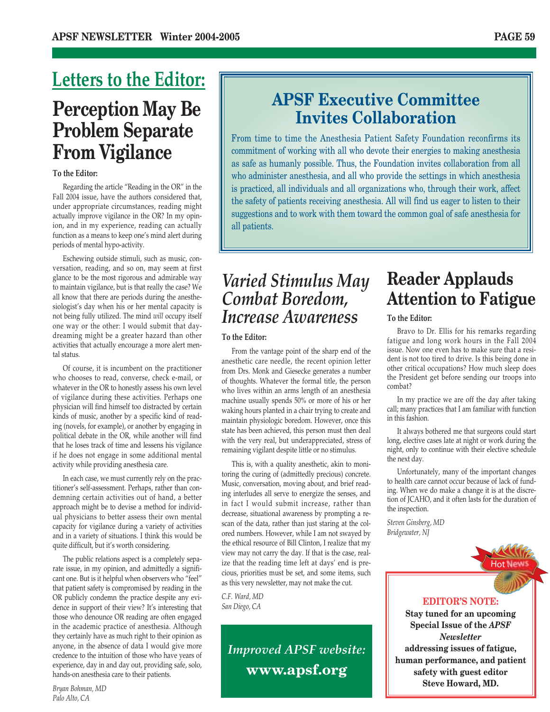### **Perception May Be Problem Separate From Vigilance Letters to the Editor:**

### **To the Editor:**

Regarding the article "Reading in the OR" in the Fall 2004 issue, have the authors considered that, under appropriate circumstances, reading might actually improve vigilance in the OR? In my opinion, and in my experience, reading can actually function as a means to keep one's mind alert during periods of mental hypo-activity.

Eschewing outside stimuli, such as music, conversation, reading, and so on, may seem at first glance to be the most rigorous and admirable way to maintain vigilance, but is that really the case? We all know that there are periods during the anesthesiologist's day when his or her mental capacity is not being fully utilized. The mind *will* occupy itself one way or the other: I would submit that daydreaming might be a greater hazard than other activities that actually encourage a more alert mental status.

Of course, it is incumbent on the practitioner who chooses to read, converse, check e-mail, or whatever in the OR to honestly assess his own level of vigilance during these activities. Perhaps one physician will find himself too distracted by certain kinds of music, another by a specific kind of reading (novels, for example), or another by engaging in political debate in the OR, while another will find that he loses track of time and lessens his vigilance if he does not engage in some additional mental activity while providing anesthesia care.

In each case, we must currently rely on the practitioner's self-assessment. Perhaps, rather than condemning certain activities out of hand, a better approach might be to devise a method for individual physicians to better assess their own mental capacity for vigilance during a variety of activities and in a variety of situations. I think this would be quite difficult, but it's worth considering.

The public relations aspect is a completely separate issue, in my opinion, and admittedly a significant one. But is it helpful when observers who "feel" that patient safety is compromised by reading in the OR publicly condemn the practice despite any evidence in support of their view? It's interesting that those who denounce OR reading are often engaged in the academic practice of anesthesia. Although they certainly have as much right to their opinion as anyone, in the absence of data I would give more credence to the intuition of those who have years of experience, day in and day out, providing safe, solo, hands-on anesthesia care to their patients.

### **APSF Executive Committee Invites Collaboration**

From time to time the Anesthesia Patient Safety Foundation reconfirms its commitment of working with all who devote their energies to making anesthesia as safe as humanly possible. Thus, the Foundation invites collaboration from all who administer anesthesia, and all who provide the settings in which anesthesia is practiced, all individuals and all organizations who, through their work, affect the safety of patients receiving anesthesia. All will find us eager to listen to their suggestions and to work with them toward the common goal of safe anesthesia for all patients.

### *Varied Stimulus May Combat Boredom, Increase Awareness*

### **To the Editor:**

From the vantage point of the sharp end of the anesthetic care needle, the recent opinion letter from Drs. Monk and Giesecke generates a number of thoughts. Whatever the formal title, the person who lives within an arms length of an anesthesia machine usually spends 50% or more of his or her waking hours planted in a chair trying to create and maintain physiologic boredom. However, once this state has been achieved, this person must then deal with the very real, but underappreciated, stress of remaining vigilant despite little or no stimulus.

This is, with a quality anesthetic, akin to monitoring the curing of (admittedly precious) concrete. Music, conversation, moving about, and brief reading interludes all serve to energize the senses, and in fact I would submit increase, rather than decrease, situational awareness by prompting a rescan of the data, rather than just staring at the colored numbers. However, while I am not swayed by the ethical resource of Bill Clinton, I realize that my view may not carry the day. If that is the case, realize that the reading time left at days' end is precious, priorities must be set, and some items, such as this very newsletter, may not make the cut.

*C.F. Ward, MD San Diego, CA*

> *Improved APSF website:* **www.apsf.org**

### **Reader Applauds Attention to Fatigue**

### **To the Editor:**

Bravo to Dr. Ellis for his remarks regarding fatigue and long work hours in the Fall 2004 issue. Now one even has to make sure that a resident is not too tired to drive. Is this being done in other critical occupations? How much sleep does the President get before sending our troops into combat?

In my practice we are off the day after taking call; many practices that I am familiar with function in this fashion.

It always bothered me that surgeons could start long, elective cases late at night or work during the night, only to continue with their elective schedule the next day.

Unfortunately, many of the important changes to health care cannot occur because of lack of funding. When we do make a change it is at the discretion of JCAHO, and it often lasts for the duration of the inspection.

*Steven Ginsberg, MD Bridgewater, NJ*



### **EDITOR'S NOTE:**

**Stay tuned for an upcoming Special Issue of the** *APSF Newsletter*  **addressing issues of fatigue, human performance, and patient safety with guest editor Steve Howard, MD.**

*Bryan Bohman, MD Palo Alto, CA*